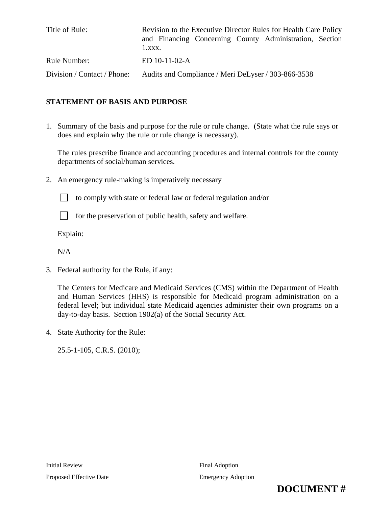| Title of Rule:              | Revision to the Executive Director Rules for Health Care Policy<br>and Financing Concerning County Administration, Section<br>$1.$ xxx. |
|-----------------------------|-----------------------------------------------------------------------------------------------------------------------------------------|
| Rule Number:                | ED 10-11-02-A                                                                                                                           |
| Division / Contact / Phone: | Audits and Compliance / Meri DeLyser / 303-866-3538                                                                                     |

# **STATEMENT OF BASIS AND PURPOSE**

1. Summary of the basis and purpose for the rule or rule change. (State what the rule says or does and explain why the rule or rule change is necessary).

The rules prescribe finance and accounting procedures and internal controls for the county departments of social/human services.

2. An emergency rule-making is imperatively necessary



to comply with state or federal law or federal regulation and/or



 $\Box$  for the preservation of public health, safety and welfare.

Explain:

 $N/A$ 

3. Federal authority for the Rule, if any:

The Centers for Medicare and Medicaid Services (CMS) within the Department of Health and Human Services (HHS) is responsible for Medicaid program administration on a federal level; but individual state Medicaid agencies administer their own programs on a day-to-day basis. Section 1902(a) of the Social Security Act.

4. State Authority for the Rule:

25.5-1-105, C.R.S. (2010);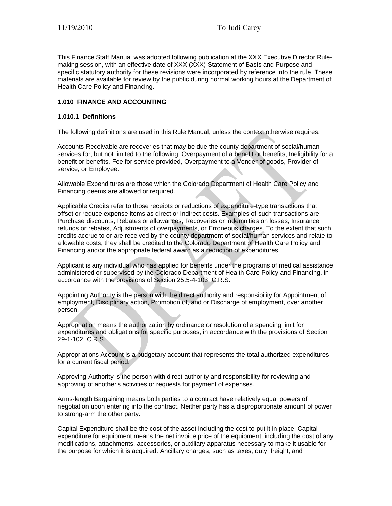This Finance Staff Manual was adopted following publication at the XXX Executive Director Rulemaking session, with an effective date of XXX (XXX) Statement of Basis and Purpose and specific statutory authority for these revisions were incorporated by reference into the rule. These materials are available for review by the public during normal working hours at the Department of Health Care Policy and Financing.

# **1.010 FINANCE AND ACCOUNTING**

#### **1.010.1 Definitions**

The following definitions are used in this Rule Manual, unless the context otherwise requires.

Accounts Receivable are recoveries that may be due the county department of social/human services for, but not limited to the following: Overpayment of a benefit or benefits, Ineligibility for a benefit or benefits, Fee for service provided, Overpayment to a Vender of goods, Provider of service, or Employee.

Allowable Expenditures are those which the Colorado Department of Health Care Policy and Financing deems are allowed or required.

Applicable Credits refer to those receipts or reductions of expenditure-type transactions that offset or reduce expense items as direct or indirect costs. Examples of such transactions are: Purchase discounts, Rebates or allowances, Recoveries or indemnities on losses, Insurance refunds or rebates, Adjustments of overpayments, or Erroneous charges. To the extent that such credits accrue to or are received by the county department of social/human services and relate to allowable costs, they shall be credited to the Colorado Department of Health Care Policy and Financing and/or the appropriate federal award as a reduction of expenditures.

Applicant is any individual who has applied for benefits under the programs of medical assistance administered or supervised by the Colorado Department of Health Care Policy and Financing, in accordance with the provisions of Section 25.5-4-103, C.R.S.

Appointing Authority is the person with the direct authority and responsibility for Appointment of employment, Disciplinary action, Promotion of, and or Discharge of employment, over another person.

Appropriation means the authorization by ordinance or resolution of a spending limit for expenditures and obligations for specific purposes, in accordance with the provisions of Section 29-1-102, C.R.S.

Appropriations Account is a budgetary account that represents the total authorized expenditures for a current fiscal period.

Approving Authority is the person with direct authority and responsibility for reviewing and approving of another's activities or requests for payment of expenses.

Arms-length Bargaining means both parties to a contract have relatively equal powers of negotiation upon entering into the contract. Neither party has a disproportionate amount of power to strong-arm the other party.

Capital Expenditure shall be the cost of the asset including the cost to put it in place. Capital expenditure for equipment means the net invoice price of the equipment, including the cost of any modifications, attachments, accessories, or auxiliary apparatus necessary to make it usable for the purpose for which it is acquired. Ancillary charges, such as taxes, duty, freight, and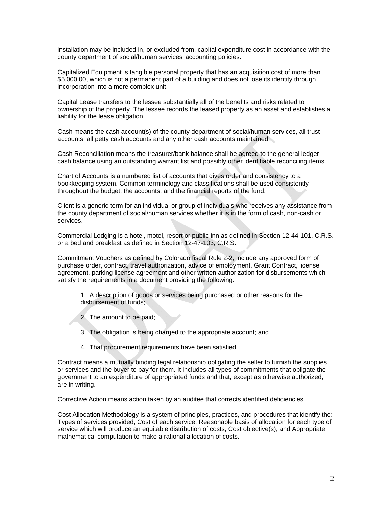installation may be included in, or excluded from, capital expenditure cost in accordance with the county department of social/human services' accounting policies.

Capitalized Equipment is tangible personal property that has an acquisition cost of more than \$5,000.00, which is not a permanent part of a building and does not lose its identity through incorporation into a more complex unit.

Capital Lease transfers to the lessee substantially all of the benefits and risks related to ownership of the property. The lessee records the leased property as an asset and establishes a liability for the lease obligation.

Cash means the cash account(s) of the county department of social/human services, all trust accounts, all petty cash accounts and any other cash accounts maintained.

Cash Reconciliation means the treasurer/bank balance shall be agreed to the general ledger cash balance using an outstanding warrant list and possibly other identifiable reconciling items.

Chart of Accounts is a numbered list of accounts that gives order and consistency to a bookkeeping system. Common terminology and classifications shall be used consistently throughout the budget, the accounts, and the financial reports of the fund.

Client is a generic term for an individual or group of individuals who receives any assistance from the county department of social/human services whether it is in the form of cash, non-cash or services.

Commercial Lodging is a hotel, motel, resort or public inn as defined in Section 12-44-101, C.R.S. or a bed and breakfast as defined in Section 12-47-103, C.R.S.

Commitment Vouchers as defined by Colorado fiscal Rule 2-2, include any approved form of purchase order, contract, travel authorization, advice of employment, Grant Contract, license agreement, parking license agreement and other written authorization for disbursements which satisfy the requirements in a document providing the following:

1. A description of goods or services being purchased or other reasons for the disbursement of funds;

- 2. The amount to be paid;
- 3. The obligation is being charged to the appropriate account; and
- 4. That procurement requirements have been satisfied.

Contract means a mutually binding legal relationship obligating the seller to furnish the supplies or services and the buyer to pay for them. It includes all types of commitments that obligate the government to an expenditure of appropriated funds and that, except as otherwise authorized, are in writing.

Corrective Action means action taken by an auditee that corrects identified deficiencies.

Cost Allocation Methodology is a system of principles, practices, and procedures that identify the: Types of services provided, Cost of each service, Reasonable basis of allocation for each type of service which will produce an equitable distribution of costs, Cost objective(s), and Appropriate mathematical computation to make a rational allocation of costs.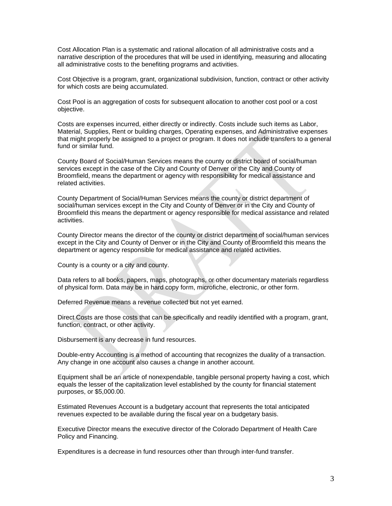Cost Allocation Plan is a systematic and rational allocation of all administrative costs and a narrative description of the procedures that will be used in identifying, measuring and allocating all administrative costs to the benefiting programs and activities.

Cost Objective is a program, grant, organizational subdivision, function, contract or other activity for which costs are being accumulated.

Cost Pool is an aggregation of costs for subsequent allocation to another cost pool or a cost objective.

Costs are expenses incurred, either directly or indirectly. Costs include such items as Labor, Material, Supplies, Rent or building charges, Operating expenses, and Administrative expenses that might properly be assigned to a project or program. It does not include transfers to a general fund or similar fund.

County Board of Social/Human Services means the county or district board of social/human services except in the case of the City and County of Denver or the City and County of Broomfield, means the department or agency with responsibility for medical assistance and related activities.

County Department of Social/Human Services means the county or district department of social/human services except in the City and County of Denver or in the City and County of Broomfield this means the department or agency responsible for medical assistance and related activities.

County Director means the director of the county or district department of social/human services except in the City and County of Denver or in the City and County of Broomfield this means the department or agency responsible for medical assistance and related activities.

County is a county or a city and county.

Data refers to all books, papers, maps, photographs, or other documentary materials regardless of physical form. Data may be in hard copy form, microfiche, electronic, or other form.

Deferred Revenue means a revenue collected but not yet earned.

Direct Costs are those costs that can be specifically and readily identified with a program, grant, function, contract, or other activity.

Disbursement is any decrease in fund resources.

Double-entry Accounting is a method of accounting that recognizes the duality of a transaction. Any change in one account also causes a change in another account.

Equipment shall be an article of nonexpendable, tangible personal property having a cost, which equals the lesser of the capitalization level established by the county for financial statement purposes, or \$5,000.00.

Estimated Revenues Account is a budgetary account that represents the total anticipated revenues expected to be available during the fiscal year on a budgetary basis.

Executive Director means the executive director of the Colorado Department of Health Care Policy and Financing.

Expenditures is a decrease in fund resources other than through inter-fund transfer.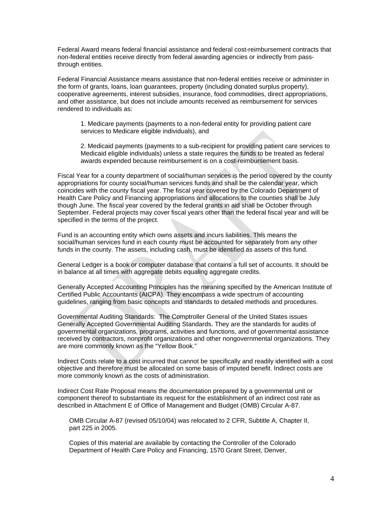Federal Award means federal financial assistance and federal cost-reimbursement contracts that non-federal entities receive directly from federal awarding agencies or indirectly from passthrough entities.

Federal Financial Assistance means assistance that non-federal entities receive or administer in the form of grants, loans, loan guarantees, property (including donated surplus property), cooperative agreements, interest subsidies, insurance, food commodities, direct appropriations, and other assistance, but does not include amounts received as reimbursement for services rendered to individuals as:

1. Medicare payments (payments to a non-federal entity for providing patient care services to Medicare eligible individuals), and

2. Medicaid payments (payments to a sub-recipient for providing patient care services to Medicaid eligible individuals) unless a state requires the funds to be treated as federal awards expended because reimbursement is on a cost-reimbursement basis.

Fiscal Year for a county department of social/human services is the period covered by the county appropriations for county social/human services funds and shall be the calendar year, which coincides with the county fiscal year. The fiscal year covered by the Colorado Department of Health Care Policy and Financing appropriations and allocations to the counties shall be July though June. The fiscal year covered by the federal grants in aid shall be October through September. Federal projects may cover fiscal years other than the federal fiscal year and will be specified in the terms of the project.

Fund is an accounting entity which owns assets and incurs liabilities. This means the social/human services fund in each county must be accounted for separately from any other funds in the county. The assets, including cash, must be identified as assets of this fund.

General Ledger is a book or computer database that contains a full set of accounts. It should be in balance at all times with aggregate debits equaling aggregate credits.

Generally Accepted Accounting Principles has the meaning specified by the American Institute of Certified Public Accountants (AICPA). They encompass a wide spectrum of accounting guidelines, ranging from basic concepts and standards to detailed methods and procedures.

Governmental Auditing Standards: The Comptroller General of the United States issues Generally Accepted Governmental Auditing Standards. They are the standards for audits of governmental organizations, programs, activities and functions, and of governmental assistance received by contractors, nonprofit organizations and other nongovernmental organizations. They are more commonly known as the "Yellow Book."

Indirect Costs relate to a cost incurred that cannot be specifically and readily identified with a cost objective and therefore must be allocated on some basis of imputed benefit. Indirect costs are more commonly known as the costs of administration.

Indirect Cost Rate Proposal means the documentation prepared by a governmental unit or component thereof to substantiate its request for the establishment of an indirect cost rate as described in Attachment E of Office of Management and Budget (OMB) Circular A-87.

OMB Circular A-87 (revised 05/10/04) was relocated to 2 CFR, Subtitle A, Chapter II, part 225 in 2005.

Copies of this material are available by contacting the Controller of the Colorado Department of Health Care Policy and Financing, 1570 Grant Street, Denver,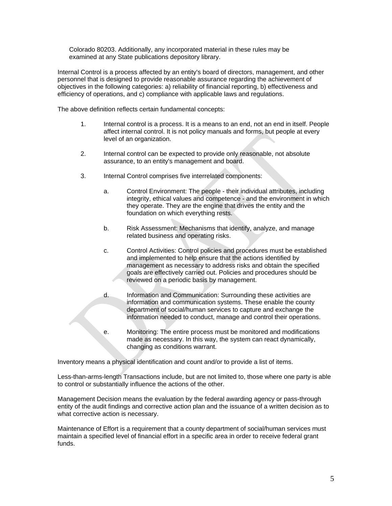Colorado 80203. Additionally, any incorporated material in these rules may be examined at any State publications depository library.

Internal Control is a process affected by an entity's board of directors, management, and other personnel that is designed to provide reasonable assurance regarding the achievement of objectives in the following categories: a) reliability of financial reporting, b) effectiveness and efficiency of operations, and c) compliance with applicable laws and regulations.

The above definition reflects certain fundamental concepts:

- 1. Internal control is a process. It is a means to an end, not an end in itself. People affect internal control. It is not policy manuals and forms, but people at every level of an organization.
- 2. Internal control can be expected to provide only reasonable, not absolute assurance, to an entity's management and board.
- 3. Internal Control comprises five interrelated components:
	- a. Control Environment: The people their individual attributes, including integrity, ethical values and competence - and the environment in which they operate. They are the engine that drives the entity and the foundation on which everything rests.
	- b. Risk Assessment: Mechanisms that identify, analyze, and manage related business and operating risks.
	- c. Control Activities: Control policies and procedures must be established and implemented to help ensure that the actions identified by management as necessary to address risks and obtain the specified goals are effectively carried out. Policies and procedures should be reviewed on a periodic basis by management.
	- d. Information and Communication: Surrounding these activities are information and communication systems. These enable the county department of social/human services to capture and exchange the information needed to conduct, manage and control their operations.
	- e. Monitoring: The entire process must be monitored and modifications made as necessary. In this way, the system can react dynamically, changing as conditions warrant.

Inventory means a physical identification and count and/or to provide a list of items.

Less-than-arms-length Transactions include, but are not limited to, those where one party is able to control or substantially influence the actions of the other.

Management Decision means the evaluation by the federal awarding agency or pass-through entity of the audit findings and corrective action plan and the issuance of a written decision as to what corrective action is necessary.

Maintenance of Effort is a requirement that a county department of social/human services must maintain a specified level of financial effort in a specific area in order to receive federal grant funds.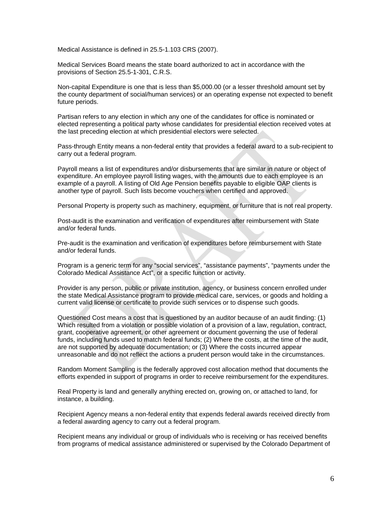Medical Assistance is defined in 25.5-1.103 CRS (2007).

Medical Services Board means the state board authorized to act in accordance with the provisions of Section 25.5-1-301, C.R.S.

Non-capital Expenditure is one that is less than \$5,000.00 (or a lesser threshold amount set by the county department of social/human services) or an operating expense not expected to benefit future periods.

Partisan refers to any election in which any one of the candidates for office is nominated or elected representing a political party whose candidates for presidential election received votes at the last preceding election at which presidential electors were selected.

Pass-through Entity means a non-federal entity that provides a federal award to a sub-recipient to carry out a federal program.

Payroll means a list of expenditures and/or disbursements that are similar in nature or object of expenditure. An employee payroll listing wages, with the amounts due to each employee is an example of a payroll. A listing of Old Age Pension benefits payable to eligible OAP clients is another type of payroll. Such lists become vouchers when certified and approved.

Personal Property is property such as machinery, equipment, or furniture that is not real property.

Post-audit is the examination and verification of expenditures after reimbursement with State and/or federal funds.

Pre-audit is the examination and verification of expenditures before reimbursement with State and/or federal funds.

Program is a generic term for any "social services", "assistance payments", "payments under the Colorado Medical Assistance Act", or a specific function or activity.

Provider is any person, public or private institution, agency, or business concern enrolled under the state Medical Assistance program to provide medical care, services, or goods and holding a current valid license or certificate to provide such services or to dispense such goods.

Questioned Cost means a cost that is questioned by an auditor because of an audit finding: (1) Which resulted from a violation or possible violation of a provision of a law, regulation, contract, grant, cooperative agreement, or other agreement or document governing the use of federal funds, including funds used to match federal funds; (2) Where the costs, at the time of the audit, are not supported by adequate documentation; or (3) Where the costs incurred appear unreasonable and do not reflect the actions a prudent person would take in the circumstances.

Random Moment Sampling is the federally approved cost allocation method that documents the efforts expended in support of programs in order to receive reimbursement for the expenditures.

Real Property is land and generally anything erected on, growing on, or attached to land, for instance, a building.

Recipient Agency means a non-federal entity that expends federal awards received directly from a federal awarding agency to carry out a federal program.

Recipient means any individual or group of individuals who is receiving or has received benefits from programs of medical assistance administered or supervised by the Colorado Department of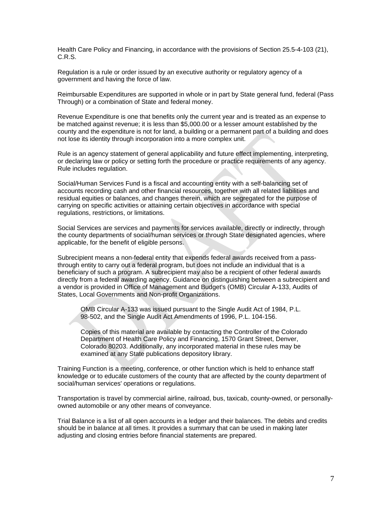Health Care Policy and Financing, in accordance with the provisions of Section 25.5-4-103 (21), C.R.S.

Regulation is a rule or order issued by an executive authority or regulatory agency of a government and having the force of law.

Reimbursable Expenditures are supported in whole or in part by State general fund, federal (Pass Through) or a combination of State and federal money.

Revenue Expenditure is one that benefits only the current year and is treated as an expense to be matched against revenue; it is less than \$5,000.00 or a lesser amount established by the county and the expenditure is not for land, a building or a permanent part of a building and does not lose its identity through incorporation into a more complex unit.

Rule is an agency statement of general applicability and future effect implementing, interpreting, or declaring law or policy or setting forth the procedure or practice requirements of any agency. Rule includes regulation.

Social/Human Services Fund is a fiscal and accounting entity with a self-balancing set of accounts recording cash and other financial resources, together with all related liabilities and residual equities or balances, and changes therein, which are segregated for the purpose of carrying on specific activities or attaining certain objectives in accordance with special regulations, restrictions, or limitations.

Social Services are services and payments for services available, directly or indirectly, through the county departments of social/human services or through State designated agencies, where applicable, for the benefit of eligible persons.

Subrecipient means a non-federal entity that expends federal awards received from a passthrough entity to carry out a federal program, but does not include an individual that is a beneficiary of such a program. A subrecipient may also be a recipient of other federal awards directly from a federal awarding agency. Guidance on distinguishing between a subrecipient and a vendor is provided in Office of Management and Budget's (OMB) Circular A-133, Audits of States, Local Governments and Non-profit Organizations.

OMB Circular A-133 was issued pursuant to the Single Audit Act of 1984, P.L. 98-502, and the Single Audit Act Amendments of 1996, P.L. 104-156.

Copies of this material are available by contacting the Controller of the Colorado Department of Health Care Policy and Financing, 1570 Grant Street, Denver, Colorado 80203. Additionally, any incorporated material in these rules may be examined at any State publications depository library.

Training Function is a meeting, conference, or other function which is held to enhance staff knowledge or to educate customers of the county that are affected by the county department of social/human services' operations or regulations.

Transportation is travel by commercial airline, railroad, bus, taxicab, county-owned, or personallyowned automobile or any other means of conveyance.

Trial Balance is a list of all open accounts in a ledger and their balances. The debits and credits should be in balance at all times. It provides a summary that can be used in making later adjusting and closing entries before financial statements are prepared.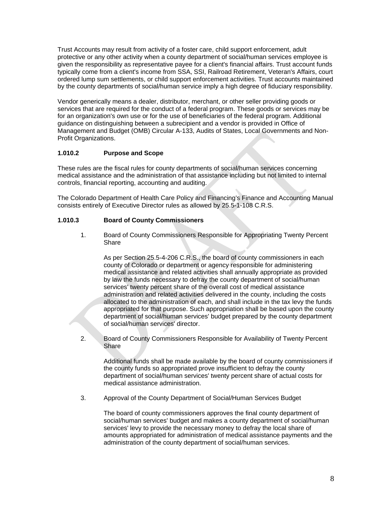Trust Accounts may result from activity of a foster care, child support enforcement, adult protective or any other activity when a county department of social/human services employee is given the responsibility as representative payee for a client's financial affairs. Trust account funds typically come from a client's income from SSA, SSI, Railroad Retirement, Veteran's Affairs, court ordered lump sum settlements, or child support enforcement activities. Trust accounts maintained by the county departments of social/human service imply a high degree of fiduciary responsibility.

Vendor generically means a dealer, distributor, merchant, or other seller providing goods or services that are required for the conduct of a federal program. These goods or services may be for an organization's own use or for the use of beneficiaries of the federal program. Additional guidance on distinguishing between a subrecipient and a vendor is provided in Office of Management and Budget (OMB) Circular A-133, Audits of States, Local Governments and Non-Profit Organizations.

# **1.010.2 Purpose and Scope**

These rules are the fiscal rules for county departments of social/human services concerning medical assistance and the administration of that assistance including but not limited to internal controls, financial reporting, accounting and auditing.

The Colorado Department of Health Care Policy and Financing's Finance and Accounting Manual consists entirely of Executive Director rules as allowed by 25.5-1-108 C.R.S.

# **1.010.3 Board of County Commissioners**

1. Board of County Commissioners Responsible for Appropriating Twenty Percent Share

 As per Section 25.5-4-206 C.R.S., the board of county commissioners in each county of Colorado or department or agency responsible for administering medical assistance and related activities shall annually appropriate as provided by law the funds necessary to defray the county department of social/human services' twenty percent share of the overall cost of medical assistance administration and related activities delivered in the county, including the costs allocated to the administration of each, and shall include in the tax levy the funds appropriated for that purpose. Such appropriation shall be based upon the county department of social/human services' budget prepared by the county department of social/human services' director.

2. Board of County Commissioners Responsible for Availability of Twenty Percent Share

 Additional funds shall be made available by the board of county commissioners if the county funds so appropriated prove insufficient to defray the county department of social/human services' twenty percent share of actual costs for medical assistance administration.

3. Approval of the County Department of Social/Human Services Budget

 The board of county commissioners approves the final county department of social/human services' budget and makes a county department of social/human services' levy to provide the necessary money to defray the local share of amounts appropriated for administration of medical assistance payments and the administration of the county department of social/human services.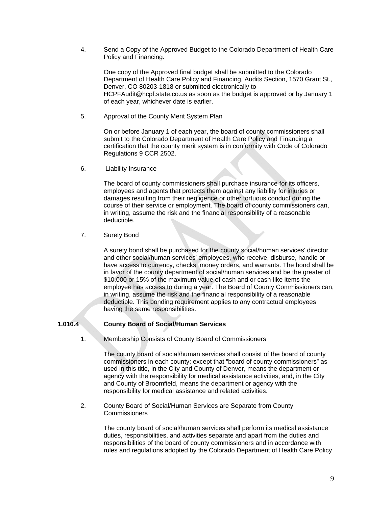4. Send a Copy of the Approved Budget to the Colorado Department of Health Care Policy and Financing.

 One copy of the Approved final budget shall be submitted to the Colorado Department of Health Care Policy and Financing, Audits Section, 1570 Grant St., Denver, CO 80203-1818 or submitted electronically to HCPFAudit@hcpf.state.co.us as soon as the budget is approved or by January 1 of each year, whichever date is earlier.

5. Approval of the County Merit System Plan

 On or before January 1 of each year, the board of county commissioners shall submit to the Colorado Department of Health Care Policy and Financing a certification that the county merit system is in conformity with Code of Colorado Regulations 9 CCR 2502.

6. Liability Insurance

 The board of county commissioners shall purchase insurance for its officers, employees and agents that protects them against any liability for injuries or damages resulting from their negligence or other tortuous conduct during the course of their service or employment. The board of county commissioners can, in writing, assume the risk and the financial responsibility of a reasonable deductible.

7. Surety Bond

 A surety bond shall be purchased for the county social/human services' director and other social/human services' employees, who receive, disburse, handle or have access to currency, checks, money orders, and warrants. The bond shall be in favor of the county department of social/human services and be the greater of \$10,000 or 15% of the maximum value of cash and or cash-like items the employee has access to during a year. The Board of County Commissioners can, in writing, assume the risk and the financial responsibility of a reasonable deductible. This bonding requirement applies to any contractual employees having the same responsibilities.

# **1.010.4 County Board of Social/Human Services**

1. Membership Consists of County Board of Commissioners

 The county board of social/human services shall consist of the board of county commissioners in each county; except that "board of county commissioners" as used in this title, in the City and County of Denver, means the department or agency with the responsibility for medical assistance activities, and, in the City and County of Broomfield, means the department or agency with the responsibility for medical assistance and related activities.

2. County Board of Social/Human Services are Separate from County **Commissioners** 

> The county board of social/human services shall perform its medical assistance duties, responsibilities, and activities separate and apart from the duties and responsibilities of the board of county commissioners and in accordance with rules and regulations adopted by the Colorado Department of Health Care Policy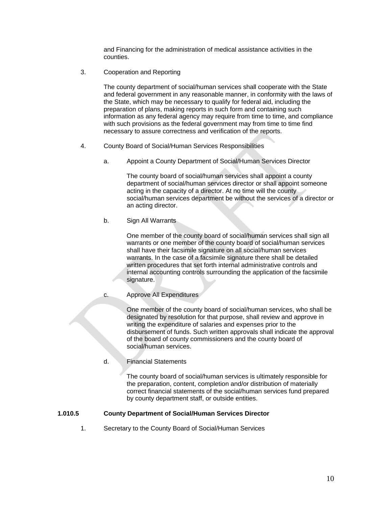and Financing for the administration of medical assistance activities in the counties.

3. Cooperation and Reporting

 The county department of social/human services shall cooperate with the State and federal government in any reasonable manner, in conformity with the laws of the State, which may be necessary to qualify for federal aid, including the preparation of plans, making reports in such form and containing such information as any federal agency may require from time to time, and compliance with such provisions as the federal government may from time to time find necessary to assure correctness and verification of the reports.

- 4. County Board of Social/Human Services Responsibilities
	- a. Appoint a County Department of Social/Human Services Director

 The county board of social/human services shall appoint a county department of social/human services director or shall appoint someone acting in the capacity of a director. At no time will the county social/human services department be without the services of a director or an acting director.

b. Sign All Warrants

 One member of the county board of social/human services shall sign all warrants or one member of the county board of social/human services shall have their facsimile signature on all social/human services warrants. In the case of a facsimile signature there shall be detailed written procedures that set forth internal administrative controls and internal accounting controls surrounding the application of the facsimile signature.

c. Approve All Expenditures

 One member of the county board of social/human services, who shall be designated by resolution for that purpose, shall review and approve in writing the expenditure of salaries and expenses prior to the disbursement of funds. Such written approvals shall indicate the approval of the board of county commissioners and the county board of social/human services.

d. Financial Statements

 The county board of social/human services is ultimately responsible for the preparation, content, completion and/or distribution of materially correct financial statements of the social/human services fund prepared by county department staff, or outside entities.

#### **1.010.5 County Department of Social/Human Services Director**

1. Secretary to the County Board of Social/Human Services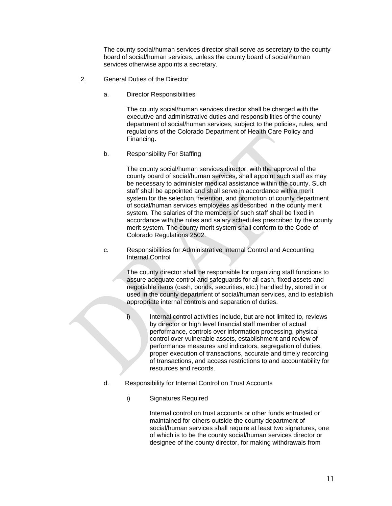The county social/human services director shall serve as secretary to the county board of social/human services, unless the county board of social/human services otherwise appoints a secretary.

- 2. General Duties of the Director
	- a. Director Responsibilities

 The county social/human services director shall be charged with the executive and administrative duties and responsibilities of the county department of social/human services, subject to the policies, rules, and regulations of the Colorado Department of Health Care Policy and Financing.

b. Responsibility For Staffing

 The county social/human services director, with the approval of the county board of social/human services, shall appoint such staff as may be necessary to administer medical assistance within the county. Such staff shall be appointed and shall serve in accordance with a merit system for the selection, retention, and promotion of county department of social/human services employees as described in the county merit system. The salaries of the members of such staff shall be fixed in accordance with the rules and salary schedules prescribed by the county merit system. The county merit system shall conform to the Code of Colorado Regulations 2502.

c. Responsibilities for Administrative Internal Control and Accounting Internal Control

> The county director shall be responsible for organizing staff functions to assure adequate control and safeguards for all cash, fixed assets and negotiable items (cash, bonds, securities, etc.) handled by, stored in or used in the county department of social/human services, and to establish appropriate internal controls and separation of duties.

- i) Internal control activities include, but are not limited to, reviews by director or high level financial staff member of actual performance, controls over information processing, physical control over vulnerable assets, establishment and review of performance measures and indicators, segregation of duties, proper execution of transactions, accurate and timely recording of transactions, and access restrictions to and accountability for resources and records.
- d. Responsibility for Internal Control on Trust Accounts
	- i) Signatures Required

 Internal control on trust accounts or other funds entrusted or maintained for others outside the county department of social/human services shall require at least two signatures, one of which is to be the county social/human services director or designee of the county director, for making withdrawals from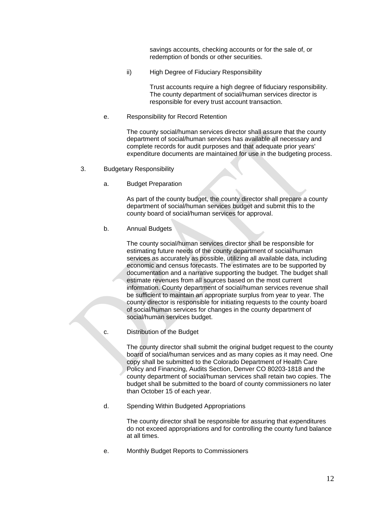savings accounts, checking accounts or for the sale of, or redemption of bonds or other securities.

ii) High Degree of Fiduciary Responsibility

 Trust accounts require a high degree of fiduciary responsibility. The county department of social/human services director is responsible for every trust account transaction.

e. Responsibility for Record Retention

 The county social/human services director shall assure that the county department of social/human services has available all necessary and complete records for audit purposes and that adequate prior years' expenditure documents are maintained for use in the budgeting process.

- 3. Budgetary Responsibility
	- a. Budget Preparation

 As part of the county budget, the county director shall prepare a county department of social/human services budget and submit this to the county board of social/human services for approval.

b. Annual Budgets

 The county social/human services director shall be responsible for estimating future needs of the county department of social/human services as accurately as possible, utilizing all available data, including economic and census forecasts. The estimates are to be supported by documentation and a narrative supporting the budget. The budget shall estimate revenues from all sources based on the most current information. County department of social/human services revenue shall be sufficient to maintain an appropriate surplus from year to year. The county director is responsible for initiating requests to the county board of social/human services for changes in the county department of social/human services budget.

c. Distribution of the Budget

 The county director shall submit the original budget request to the county board of social/human services and as many copies as it may need. One copy shall be submitted to the Colorado Department of Health Care Policy and Financing, Audits Section, Denver CO 80203-1818 and the county department of social/human services shall retain two copies. The budget shall be submitted to the board of county commissioners no later than October 15 of each year.

d. Spending Within Budgeted Appropriations

 The county director shall be responsible for assuring that expenditures do not exceed appropriations and for controlling the county fund balance at all times.

e. Monthly Budget Reports to Commissioners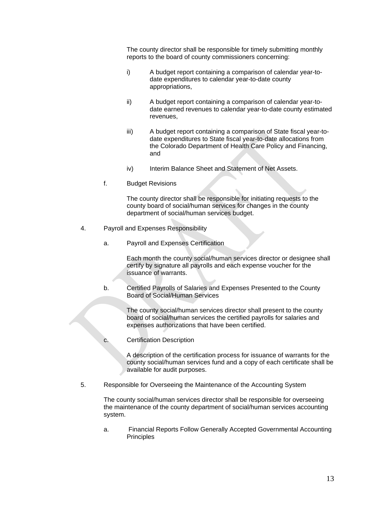The county director shall be responsible for timely submitting monthly reports to the board of county commissioners concerning:

- i) A budget report containing a comparison of calendar year-todate expenditures to calendar year-to-date county appropriations,
- ii) A budget report containing a comparison of calendar year-todate earned revenues to calendar year-to-date county estimated revenues,
- iii) A budget report containing a comparison of State fiscal year-todate expenditures to State fiscal year-to-date allocations from the Colorado Department of Health Care Policy and Financing, and
- iv) Interim Balance Sheet and Statement of Net Assets.
- f. Budget Revisions

 The county director shall be responsible for initiating requests to the county board of social/human services for changes in the county department of social/human services budget.

- 4. Payroll and Expenses Responsibility
	- a. Payroll and Expenses Certification

 Each month the county social/human services director or designee shall certify by signature all payrolls and each expense voucher for the issuance of warrants.

b. Certified Payrolls of Salaries and Expenses Presented to the County Board of Social/Human Services

> The county social/human services director shall present to the county board of social/human services the certified payrolls for salaries and expenses authorizations that have been certified.

c. Certification Description

 A description of the certification process for issuance of warrants for the county social/human services fund and a copy of each certificate shall be available for audit purposes.

5. Responsible for Overseeing the Maintenance of the Accounting System

 The county social/human services director shall be responsible for overseeing the maintenance of the county department of social/human services accounting system.

a. Financial Reports Follow Generally Accepted Governmental Accounting **Principles**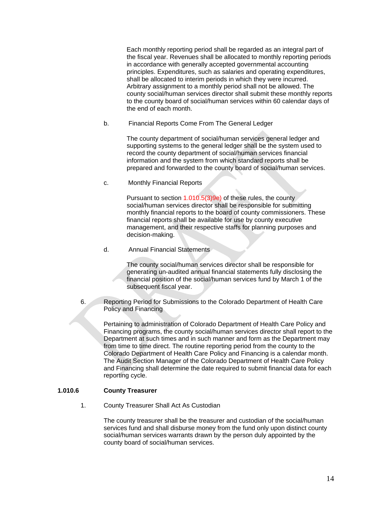Each monthly reporting period shall be regarded as an integral part of the fiscal year. Revenues shall be allocated to monthly reporting periods in accordance with generally accepted governmental accounting principles. Expenditures, such as salaries and operating expenditures, shall be allocated to interim periods in which they were incurred. Arbitrary assignment to a monthly period shall not be allowed. The county social/human services director shall submit these monthly reports to the county board of social/human services within 60 calendar days of the end of each month.

b. Financial Reports Come From The General Ledger

 The county department of social/human services general ledger and supporting systems to the general ledger shall be the system used to record the county department of social/human services financial information and the system from which standard reports shall be prepared and forwarded to the county board of social/human services.

c. Monthly Financial Reports

Pursuant to section 1.010.5(3)9e) of these rules, the county social/human services director shall be responsible for submitting monthly financial reports to the board of county commissioners. These financial reports shall be available for use by county executive management, and their respective staffs for planning purposes and decision-making.

d. Annual Financial Statements

 The county social/human services director shall be responsible for generating un-audited annual financial statements fully disclosing the financial position of the social/human services fund by March 1 of the subsequent fiscal year.

6. Reporting Period for Submissions to the Colorado Department of Health Care Policy and Financing

 Pertaining to administration of Colorado Department of Health Care Policy and Financing programs, the county social/human services director shall report to the Department at such times and in such manner and form as the Department may from time to time direct. The routine reporting period from the county to the Colorado Department of Health Care Policy and Financing is a calendar month. The Audit Section Manager of the Colorado Department of Health Care Policy and Financing shall determine the date required to submit financial data for each reporting cycle.

# **1.010.6 County Treasurer**

1. County Treasurer Shall Act As Custodian

 The county treasurer shall be the treasurer and custodian of the social/human services fund and shall disburse money from the fund only upon distinct county social/human services warrants drawn by the person duly appointed by the county board of social/human services.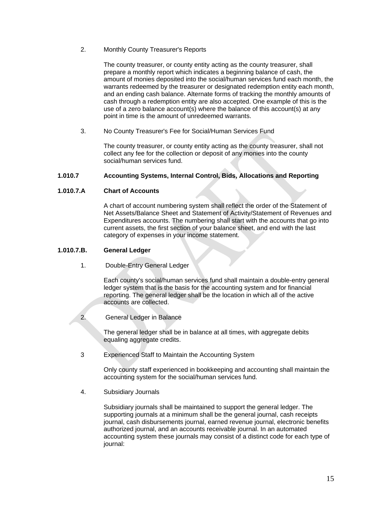2. Monthly County Treasurer's Reports

 The county treasurer, or county entity acting as the county treasurer, shall prepare a monthly report which indicates a beginning balance of cash, the amount of monies deposited into the social/human services fund each month, the warrants redeemed by the treasurer or designated redemption entity each month, and an ending cash balance. Alternate forms of tracking the monthly amounts of cash through a redemption entity are also accepted. One example of this is the use of a zero balance account(s) where the balance of this account(s) at any point in time is the amount of unredeemed warrants.

3. No County Treasurer's Fee for Social/Human Services Fund

 The county treasurer, or county entity acting as the county treasurer, shall not collect any fee for the collection or deposit of any monies into the county social/human services fund.

### **1.010.7 Accounting Systems, Internal Control, Bids, Allocations and Reporting**

#### **1.010.7.A Chart of Accounts**

A chart of account numbering system shall reflect the order of the Statement of Net Assets/Balance Sheet and Statement of Activity/Statement of Revenues and Expenditures accounts. The numbering shall start with the accounts that go into current assets, the first section of your balance sheet, and end with the last category of expenses in your income statement.

### **1.010.7.B. General Ledger**

1. Double-Entry General Ledger

 Each county's social/human services fund shall maintain a double-entry general ledger system that is the basis for the accounting system and for financial reporting. The general ledger shall be the location in which all of the active accounts are collected.

# 2. General Ledger in Balance

 The general ledger shall be in balance at all times, with aggregate debits equaling aggregate credits.

3 Experienced Staff to Maintain the Accounting System

 Only county staff experienced in bookkeeping and accounting shall maintain the accounting system for the social/human services fund.

4. Subsidiary Journals

 Subsidiary journals shall be maintained to support the general ledger. The supporting journals at a minimum shall be the general journal, cash receipts journal, cash disbursements journal, earned revenue journal, electronic benefits authorized journal, and an accounts receivable journal. In an automated accounting system these journals may consist of a distinct code for each type of journal: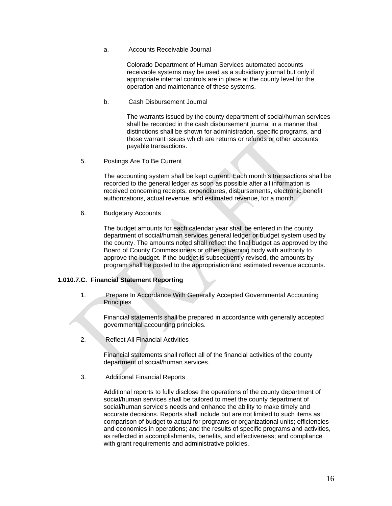a. Accounts Receivable Journal

 Colorado Department of Human Services automated accounts receivable systems may be used as a subsidiary journal but only if appropriate internal controls are in place at the county level for the operation and maintenance of these systems.

b. Cash Disbursement Journal

 The warrants issued by the county department of social/human services shall be recorded in the cash disbursement journal in a manner that distinctions shall be shown for administration, specific programs, and those warrant issues which are returns or refunds or other accounts payable transactions.

5. Postings Are To Be Current

 The accounting system shall be kept current. Each month's transactions shall be recorded to the general ledger as soon as possible after all information is received concerning receipts, expenditures, disbursements, electronic benefit authorizations, actual revenue, and estimated revenue, for a month.

6. Budgetary Accounts

 The budget amounts for each calendar year shall be entered in the county department of social/human services general ledger or budget system used by the county. The amounts noted shall reflect the final budget as approved by the Board of County Commissioners or other governing body with authority to approve the budget. If the budget is subsequently revised, the amounts by program shall be posted to the appropriation and estimated revenue accounts.

#### **1.010.7.C. Financial Statement Reporting**

1. Prepare In Accordance With Generally Accepted Governmental Accounting Principles

 Financial statements shall be prepared in accordance with generally accepted governmental accounting principles.

2. Reflect All Financial Activities

 Financial statements shall reflect all of the financial activities of the county department of social/human services.

3. Additional Financial Reports

 Additional reports to fully disclose the operations of the county department of social/human services shall be tailored to meet the county department of social/human service's needs and enhance the ability to make timely and accurate decisions. Reports shall include but are not limited to such items as: comparison of budget to actual for programs or organizational units; efficiencies and economies in operations; and the results of specific programs and activities, as reflected in accomplishments, benefits, and effectiveness; and compliance with grant requirements and administrative policies.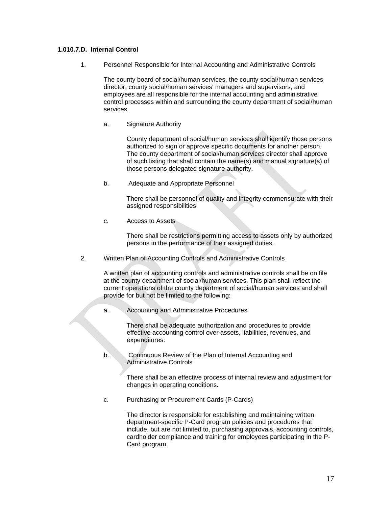# **1.010.7.D. Internal Control**

1. Personnel Responsible for Internal Accounting and Administrative Controls

 The county board of social/human services, the county social/human services director, county social/human services' managers and supervisors, and employees are all responsible for the internal accounting and administrative control processes within and surrounding the county department of social/human services.

a. Signature Authority

 County department of social/human services shall identify those persons authorized to sign or approve specific documents for another person. The county department of social/human services director shall approve of such listing that shall contain the name(s) and manual signature(s) of those persons delegated signature authority.

b. Adequate and Appropriate Personnel

 There shall be personnel of quality and integrity commensurate with their assigned responsibilities.

c. Access to Assets

 There shall be restrictions permitting access to assets only by authorized persons in the performance of their assigned duties.

2. Written Plan of Accounting Controls and Administrative Controls

 A written plan of accounting controls and administrative controls shall be on file at the county department of social/human services. This plan shall reflect the current operations of the county department of social/human services and shall provide for but not be limited to the following:

a. Accounting and Administrative Procedures

 There shall be adequate authorization and procedures to provide effective accounting control over assets, liabilities, revenues, and expenditures.

b. Continuous Review of the Plan of Internal Accounting and Administrative Controls

> There shall be an effective process of internal review and adjustment for changes in operating conditions.

c. Purchasing or Procurement Cards (P-Cards)

 The director is responsible for establishing and maintaining written department-specific P-Card program policies and procedures that include, but are not limited to, purchasing approvals, accounting controls, cardholder compliance and training for employees participating in the P-Card program.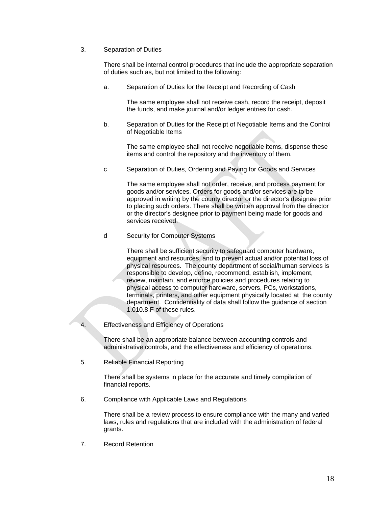### 3. Separation of Duties

 There shall be internal control procedures that include the appropriate separation of duties such as, but not limited to the following:

a. Separation of Duties for the Receipt and Recording of Cash

 The same employee shall not receive cash, record the receipt, deposit the funds, and make journal and/or ledger entries for cash.

b. Separation of Duties for the Receipt of Negotiable Items and the Control of Negotiable Items

 The same employee shall not receive negotiable items, dispense these items and control the repository and the inventory of them.

c Separation of Duties, Ordering and Paying for Goods and Services

 The same employee shall not order, receive, and process payment for goods and/or services. Orders for goods and/or services are to be approved in writing by the county director or the director's designee prior to placing such orders. There shall be written approval from the director or the director's designee prior to payment being made for goods and services received.

d Security for Computer Systems

 There shall be sufficient security to safeguard computer hardware, equipment and resources, and to prevent actual and/or potential loss of physical resources. The county department of social/human services is responsible to develop, define, recommend, establish, implement, review, maintain, and enforce policies and procedures relating to physical access to computer hardware, servers, PCs, workstations, terminals, printers, and other equipment physically located at the county department. Confidentiality of data shall follow the guidance of section 1.010.8.F of these rules.

4. Effectiveness and Efficiency of Operations

 There shall be an appropriate balance between accounting controls and administrative controls, and the effectiveness and efficiency of operations.

5. Reliable Financial Reporting

 There shall be systems in place for the accurate and timely compilation of financial reports.

6. Compliance with Applicable Laws and Regulations

 There shall be a review process to ensure compliance with the many and varied laws, rules and regulations that are included with the administration of federal grants.

7. Record Retention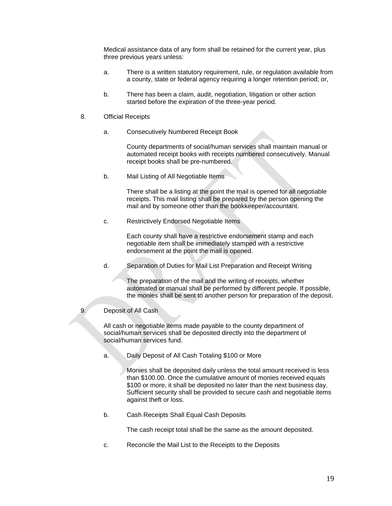Medical assistance data of any form shall be retained for the current year, plus three previous years unless:

- a. There is a written statutory requirement, rule, or regulation available from a county, state or federal agency requiring a longer retention period; or,
- b. There has been a claim, audit, negotiation, litigation or other action started before the expiration of the three-year period.
- 8. Official Receipts
	- a. Consecutively Numbered Receipt Book

 County departments of social/human services shall maintain manual or automated receipt books with receipts numbered consecutively. Manual receipt books shall be pre-numbered.

b. Mail Listing of All Negotiable Items

 There shall be a listing at the point the mail is opened for all negotiable receipts. This mail listing shall be prepared by the person opening the mail and by someone other than the bookkeeper/accountant.

c. Restrictively Endorsed Negotiable Items

 Each county shall have a restrictive endorsement stamp and each negotiable item shall be immediately stamped with a restrictive endorsement at the point the mail is opened.

d. Separation of Duties for Mail List Preparation and Receipt Writing

 The preparation of the mail and the writing of receipts, whether automated or manual shall be performed by different people. If possible, the monies shall be sent to another person for preparation of the deposit.

9. Deposit of All Cash

 All cash or negotiable items made payable to the county department of social/human services shall be deposited directly into the department of social/human services fund.

a. Daily Deposit of All Cash Totaling \$100 or More

 Monies shall be deposited daily unless the total amount received is less than \$100.00. Once the cumulative amount of monies received equals \$100 or more, it shall be deposited no later than the next business day. Sufficient security shall be provided to secure cash and negotiable items against theft or loss.

b. Cash Receipts Shall Equal Cash Deposits

The cash receipt total shall be the same as the amount deposited.

c. Reconcile the Mail List to the Receipts to the Deposits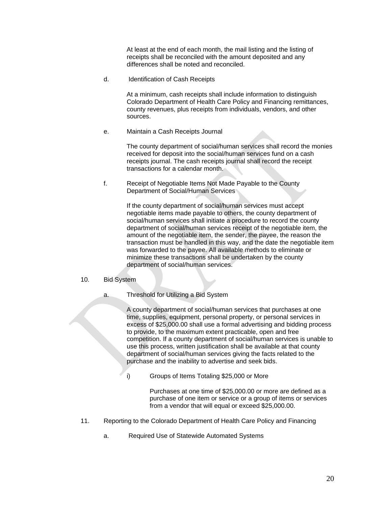At least at the end of each month, the mail listing and the listing of receipts shall be reconciled with the amount deposited and any differences shall be noted and reconciled.

d. Identification of Cash Receipts

 At a minimum, cash receipts shall include information to distinguish Colorado Department of Health Care Policy and Financing remittances, county revenues, plus receipts from individuals, vendors, and other sources.

e. Maintain a Cash Receipts Journal

 The county department of social/human services shall record the monies received for deposit into the social/human services fund on a cash receipts journal. The cash receipts journal shall record the receipt transactions for a calendar month.

f. Receipt of Negotiable Items Not Made Payable to the County Department of Social/Human Services

> If the county department of social/human services must accept negotiable items made payable to others, the county department of social/human services shall initiate a procedure to record the county department of social/human services receipt of the negotiable item, the amount of the negotiable item, the sender, the payee, the reason the transaction must be handled in this way, and the date the negotiable item was forwarded to the payee. All available methods to eliminate or minimize these transactions shall be undertaken by the county department of social/human services.

- 10. Bid System
	- a. Threshold for Utilizing a Bid System

 A county department of social/human services that purchases at one time, supplies, equipment, personal property, or personal services in excess of \$25,000.00 shall use a formal advertising and bidding process to provide, to the maximum extent practicable, open and free competition. If a county department of social/human services is unable to use this process, written justification shall be available at that county department of social/human services giving the facts related to the purchase and the inability to advertise and seek bids.

i) Groups of Items Totaling \$25,000 or More

 Purchases at one time of \$25,000.00 or more are defined as a purchase of one item or service or a group of items or services from a vendor that will equal or exceed \$25,000.00.

- 11. Reporting to the Colorado Department of Health Care Policy and Financing
	- a. Required Use of Statewide Automated Systems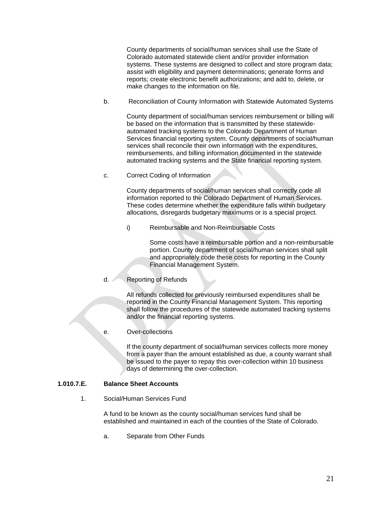County departments of social/human services shall use the State of Colorado automated statewide client and/or provider information systems. These systems are designed to collect and store program data; assist with eligibility and payment determinations; generate forms and reports; create electronic benefit authorizations; and add to, delete, or make changes to the information on file.

b. Reconciliation of County Information with Statewide Automated Systems

 County department of social/human services reimbursement or billing will be based on the information that is transmitted by these statewideautomated tracking systems to the Colorado Department of Human Services financial reporting system. County departments of social/human services shall reconcile their own information with the expenditures, reimbursements, and billing information documented in the statewide automated tracking systems and the State financial reporting system.

c. Correct Coding of Information

 County departments of social/human services shall correctly code all information reported to the Colorado Department of Human Services. These codes determine whether the expenditure falls within budgetary allocations, disregards budgetary maximums or is a special project.

i) Reimbursable and Non-Reimbursable Costs

 Some costs have a reimbursable portion and a non-reimbursable portion. County department of social/human services shall split and appropriately code these costs for reporting in the County Financial Management System.

d. Reporting of Refunds

 All refunds collected for previously reimbursed expenditures shall be reported in the County Financial Management System. This reporting shall follow the procedures of the statewide automated tracking systems and/or the financial reporting systems.

e. Over-collections

 If the county department of social/human services collects more money from a payer than the amount established as due, a county warrant shall be issued to the payer to repay this over-collection within 10 business days of determining the over-collection.

# **1.010.7.E. Balance Sheet Accounts**

1. Social/Human Services Fund

 A fund to be known as the county social/human services fund shall be established and maintained in each of the counties of the State of Colorado.

a. Separate from Other Funds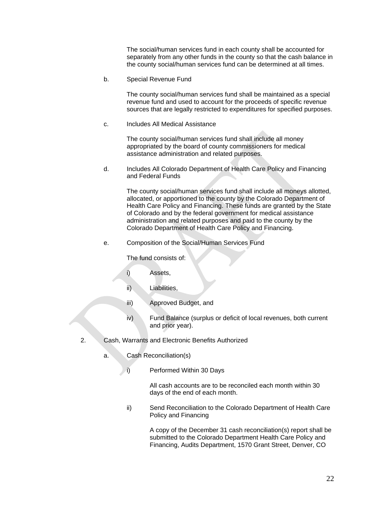The social/human services fund in each county shall be accounted for separately from any other funds in the county so that the cash balance in the county social/human services fund can be determined at all times.

b. Special Revenue Fund

 The county social/human services fund shall be maintained as a special revenue fund and used to account for the proceeds of specific revenue sources that are legally restricted to expenditures for specified purposes.

c. Includes All Medical Assistance

 The county social/human services fund shall include all money appropriated by the board of county commissioners for medical assistance administration and related purposes.

d. Includes All Colorado Department of Health Care Policy and Financing and Federal Funds

> The county social/human services fund shall include all moneys allotted, allocated, or apportioned to the county by the Colorado Department of Health Care Policy and Financing. These funds are granted by the State of Colorado and by the federal government for medical assistance administration and related purposes and paid to the county by the Colorado Department of Health Care Policy and Financing.

e. Composition of the Social/Human Services Fund

The fund consists of:

- i) Assets,
- ii) Liabilities,
- iii) Approved Budget, and
- iv) Fund Balance (surplus or deficit of local revenues, both current and prior year).
- 2. Cash, Warrants and Electronic Benefits Authorized
	- a. Cash Reconciliation(s)
		- i) Performed Within 30 Days

 All cash accounts are to be reconciled each month within 30 days of the end of each month.

ii) Send Reconciliation to the Colorado Department of Health Care Policy and Financing

> A copy of the December 31 cash reconciliation(s) report shall be submitted to the Colorado Department Health Care Policy and Financing, Audits Department, 1570 Grant Street, Denver, CO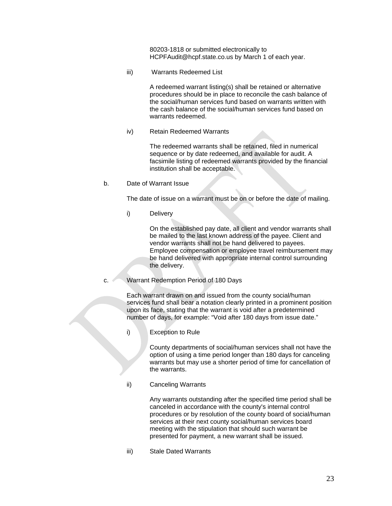80203-1818 or submitted electronically to HCPFAudit@hcpf.state.co.us by March 1 of each year.

iii) Warrants Redeemed List

 A redeemed warrant listing(s) shall be retained or alternative procedures should be in place to reconcile the cash balance of the social/human services fund based on warrants written with the cash balance of the social/human services fund based on warrants redeemed.

iv) Retain Redeemed Warrants

 The redeemed warrants shall be retained, filed in numerical sequence or by date redeemed, and available for audit. A facsimile listing of redeemed warrants provided by the financial institution shall be acceptable.

b. Date of Warrant Issue

The date of issue on a warrant must be on or before the date of mailing.

i) Delivery

 On the established pay date, all client and vendor warrants shall be mailed to the last known address of the payee. Client and vendor warrants shall not be hand delivered to payees. Employee compensation or employee travel reimbursement may be hand delivered with appropriate internal control surrounding the delivery.

c. Warrant Redemption Period of 180 Days

 Each warrant drawn on and issued from the county social/human services fund shall bear a notation clearly printed in a prominent position upon its face, stating that the warrant is void after a predetermined number of days, for example: "Void after 180 days from issue date."

i) Exception to Rule

 County departments of social/human services shall not have the option of using a time period longer than 180 days for canceling warrants but may use a shorter period of time for cancellation of the warrants.

ii) Canceling Warrants

 Any warrants outstanding after the specified time period shall be canceled in accordance with the county's internal control procedures or by resolution of the county board of social/human services at their next county social/human services board meeting with the stipulation that should such warrant be presented for payment, a new warrant shall be issued.

iii) Stale Dated Warrants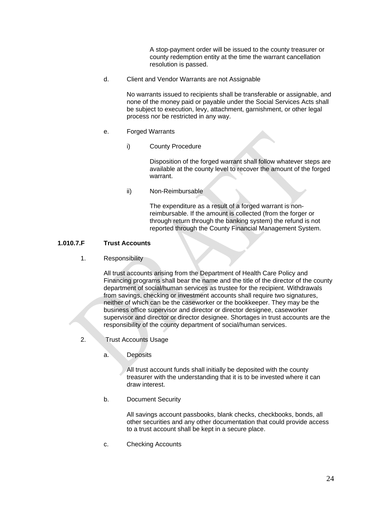A stop-payment order will be issued to the county treasurer or county redemption entity at the time the warrant cancellation resolution is passed.

d. Client and Vendor Warrants are not Assignable

 No warrants issued to recipients shall be transferable or assignable, and none of the money paid or payable under the Social Services Acts shall be subject to execution, levy, attachment, garnishment, or other legal process nor be restricted in any way.

- e. Forged Warrants
	- i) County Procedure

 Disposition of the forged warrant shall follow whatever steps are available at the county level to recover the amount of the forged warrant.

ii) Non-Reimbursable

 The expenditure as a result of a forged warrant is nonreimbursable. If the amount is collected (from the forger or through return through the banking system) the refund is not reported through the County Financial Management System.

# **1.010.7.F Trust Accounts**

1. Responsibility

 All trust accounts arising from the Department of Health Care Policy and Financing programs shall bear the name and the title of the director of the county department of social/human services as trustee for the recipient. Withdrawals from savings, checking or investment accounts shall require two signatures, neither of which can be the caseworker or the bookkeeper. They may be the business office supervisor and director or director designee, caseworker supervisor and director or director designee. Shortages in trust accounts are the responsibility of the county department of social/human services.

- 2. Trust Accounts Usage
	- a. Deposits

 All trust account funds shall initially be deposited with the county treasurer with the understanding that it is to be invested where it can draw interest.

b. Document Security

 All savings account passbooks, blank checks, checkbooks, bonds, all other securities and any other documentation that could provide access to a trust account shall be kept in a secure place.

c. Checking Accounts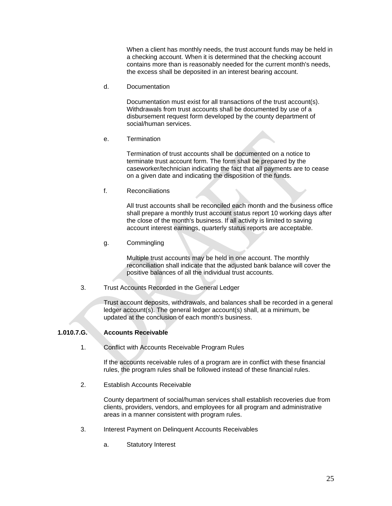When a client has monthly needs, the trust account funds may be held in a checking account. When it is determined that the checking account contains more than is reasonably needed for the current month's needs, the excess shall be deposited in an interest bearing account.

d. Documentation

 Documentation must exist for all transactions of the trust account(s). Withdrawals from trust accounts shall be documented by use of a disbursement request form developed by the county department of social/human services.

e. Termination

 Termination of trust accounts shall be documented on a notice to terminate trust account form. The form shall be prepared by the caseworker/technician indicating the fact that all payments are to cease on a given date and indicating the disposition of the funds.

f. Reconciliations

 All trust accounts shall be reconciled each month and the business office shall prepare a monthly trust account status report 10 working days after the close of the month's business. If all activity is limited to saving account interest earnings, quarterly status reports are acceptable.

g. Commingling

 Multiple trust accounts may be held in one account. The monthly reconciliation shall indicate that the adjusted bank balance will cover the positive balances of all the individual trust accounts.

3. Trust Accounts Recorded in the General Ledger

 Trust account deposits, withdrawals, and balances shall be recorded in a general ledger account(s). The general ledger account(s) shall, at a minimum, be updated at the conclusion of each month's business.

# **1.010.7.G. Accounts Receivable**

1. Conflict with Accounts Receivable Program Rules

 If the accounts receivable rules of a program are in conflict with these financial rules, the program rules shall be followed instead of these financial rules.

2. Establish Accounts Receivable

 County department of social/human services shall establish recoveries due from clients, providers, vendors, and employees for all program and administrative areas in a manner consistent with program rules.

- 3. Interest Payment on Delinquent Accounts Receivables
	- a. Statutory Interest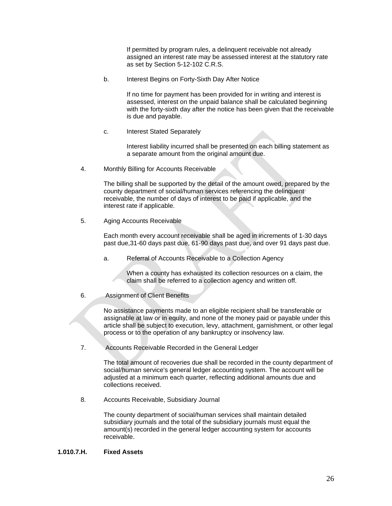If permitted by program rules, a delinquent receivable not already assigned an interest rate may be assessed interest at the statutory rate as set by Section 5-12-102 C.R.S.

b. Interest Begins on Forty-Sixth Day After Notice

 If no time for payment has been provided for in writing and interest is assessed, interest on the unpaid balance shall be calculated beginning with the forty-sixth day after the notice has been given that the receivable is due and payable.

c. Interest Stated Separately

 Interest liability incurred shall be presented on each billing statement as a separate amount from the original amount due.

4. Monthly Billing for Accounts Receivable

 The billing shall be supported by the detail of the amount owed, prepared by the county department of social/human services referencing the delinquent receivable, the number of days of interest to be paid if applicable, and the interest rate if applicable.

5. Aging Accounts Receivable

 Each month every account receivable shall be aged in increments of 1-30 days past due,31-60 days past due, 61-90 days past due, and over 91 days past due.

a. Referral of Accounts Receivable to a Collection Agency

 When a county has exhausted its collection resources on a claim, the claim shall be referred to a collection agency and written off.

6. Assignment of Client Benefits

 No assistance payments made to an eligible recipient shall be transferable or assignable at law or in equity, and none of the money paid or payable under this article shall be subject to execution, levy, attachment, garnishment, or other legal process or to the operation of any bankruptcy or insolvency law.

7. Accounts Receivable Recorded in the General Ledger

 The total amount of recoveries due shall be recorded in the county department of social/human service's general ledger accounting system. The account will be adjusted at a minimum each quarter, reflecting additional amounts due and collections received.

8. Accounts Receivable, Subsidiary Journal

 The county department of social/human services shall maintain detailed subsidiary journals and the total of the subsidiary journals must equal the amount(s) recorded in the general ledger accounting system for accounts receivable.

#### **1.010.7.H. Fixed Assets**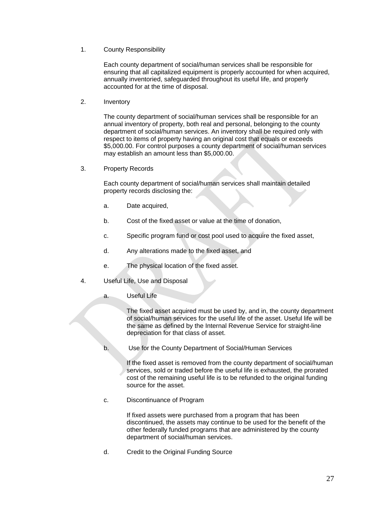1. County Responsibility

 Each county department of social/human services shall be responsible for ensuring that all capitalized equipment is properly accounted for when acquired, annually inventoried, safeguarded throughout its useful life, and properly accounted for at the time of disposal.

2. Inventory

 The county department of social/human services shall be responsible for an annual inventory of property, both real and personal, belonging to the county department of social/human services. An inventory shall be required only with respect to items of property having an original cost that equals or exceeds \$5,000.00. For control purposes a county department of social/human services may establish an amount less than \$5,000.00.

3. Property Records

 Each county department of social/human services shall maintain detailed property records disclosing the:

- a. Date acquired,
- b. Cost of the fixed asset or value at the time of donation,
- c. Specific program fund or cost pool used to acquire the fixed asset,
- d. Any alterations made to the fixed asset, and
- e. The physical location of the fixed asset.
- 4. Useful Life, Use and Disposal
	- a. Useful Life

 The fixed asset acquired must be used by, and in, the county department of social/human services for the useful life of the asset. Useful life will be the same as defined by the Internal Revenue Service for straight-line depreciation for that class of asset.

b. Use for the County Department of Social/Human Services

 If the fixed asset is removed from the county department of social/human services, sold or traded before the useful life is exhausted, the prorated cost of the remaining useful life is to be refunded to the original funding source for the asset.

c. Discontinuance of Program

 If fixed assets were purchased from a program that has been discontinued, the assets may continue to be used for the benefit of the other federally funded programs that are administered by the county department of social/human services.

d. Credit to the Original Funding Source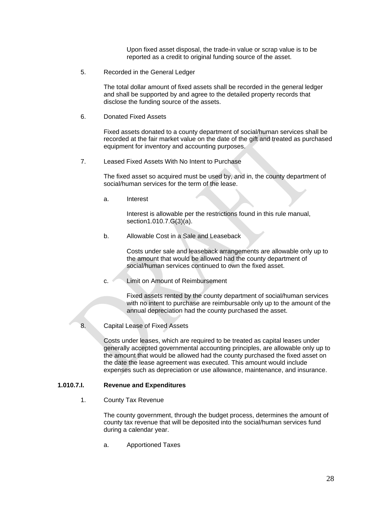Upon fixed asset disposal, the trade-in value or scrap value is to be reported as a credit to original funding source of the asset.

5. Recorded in the General Ledger

 The total dollar amount of fixed assets shall be recorded in the general ledger and shall be supported by and agree to the detailed property records that disclose the funding source of the assets.

6. Donated Fixed Assets

 Fixed assets donated to a county department of social/human services shall be recorded at the fair market value on the date of the gift and treated as purchased equipment for inventory and accounting purposes.

7. Leased Fixed Assets With No Intent to Purchase

 The fixed asset so acquired must be used by, and in, the county department of social/human services for the term of the lease.

a. Interest

 Interest is allowable per the restrictions found in this rule manual, section1.010.7.G(3)(a).

b. Allowable Cost in a Sale and Leaseback

 Costs under sale and leaseback arrangements are allowable only up to the amount that would be allowed had the county department of social/human services continued to own the fixed asset.

c. Limit on Amount of Reimbursement

 Fixed assets rented by the county department of social/human services with no intent to purchase are reimbursable only up to the amount of the annual depreciation had the county purchased the asset.

8. Capital Lease of Fixed Assets

 Costs under leases, which are required to be treated as capital leases under generally accepted governmental accounting principles, are allowable only up to the amount that would be allowed had the county purchased the fixed asset on the date the lease agreement was executed. This amount would include expenses such as depreciation or use allowance, maintenance, and insurance.

#### **1.010.7.I. Revenue and Expenditures**

1. County Tax Revenue

 The county government, through the budget process, determines the amount of county tax revenue that will be deposited into the social/human services fund during a calendar year.

a. Apportioned Taxes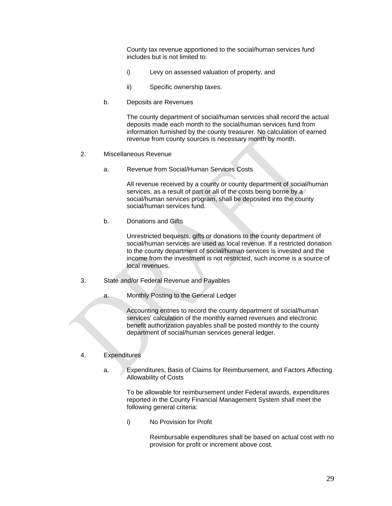County tax revenue apportioned to the social/human services fund includes but is not limited to:

- i) Levy on assessed valuation of property, and
- ii) Specific ownership taxes.
- b. Deposits are Revenues

 The county department of social/human services shall record the actual deposits made each month to the social/human services fund from information furnished by the county treasurer. No calculation of earned revenue from county sources is necessary month by month.

- 2. Miscellaneous Revenue
	- a. Revenue from Social/Human Services Costs

 All revenue received by a county or county department of social/human services, as a result of part or all of the costs being borne by a social/human services program, shall be deposited into the county social/human services fund.

b. Donations and Gifts

 Unrestricted bequests, gifts or donations to the county department of social/human services are used as local revenue. If a restricted donation to the county department of social/human services is invested and the income from the investment is not restricted, such income is a source of local revenues.

- 3. State and/or Federal Revenue and Payables
	- a. Monthly Posting to the General Ledger

 Accounting entries to record the county department of social/human services' calculation of the monthly earned revenues and electronic benefit authorization payables shall be posted monthly to the county department of social/human services general ledger.

# 4. Expenditures

a. Expenditures, Basis of Claims for Reimbursement, and Factors Affecting Allowability of Costs

 To be allowable for reimbursement under Federal awards, expenditures reported in the County Financial Management System shall meet the following general criteria:

i) No Provision for Profit

 Reimbursable expenditures shall be based on actual cost with no provision for profit or increment above cost.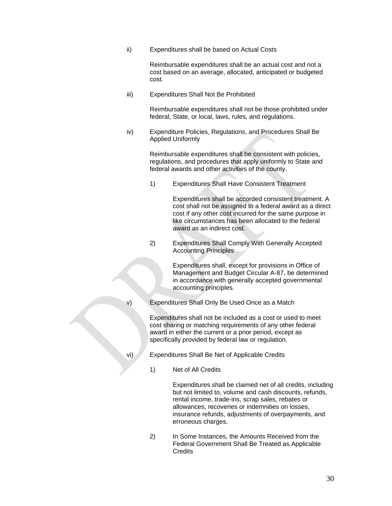ii) Expenditures shall be based on Actual Costs

 Reimbursable expenditures shall be an actual cost and not a cost based on an average, allocated, anticipated or budgeted cost.

iii) Expenditures Shall Not Be Prohibited

 Reimbursable expenditures shall not be those prohibited under federal, State, or local, laws, rules, and regulations.

iv) Expenditure Policies, Regulations, and Procedures Shall Be Applied Uniformly

> Reimbursable expenditures shall be consistent with policies, regulations, and procedures that apply uniformly to State and federal awards and other activities of the county.

1) Expenditures Shall Have Consistent Treatment

 Expenditures shall be accorded consistent treatment. A cost shall not be assigned to a federal award as a direct cost if any other cost incurred for the same purpose in like circumstances has been allocated to the federal award as an indirect cost.

2) Expenditures Shall Comply With Generally Accepted Accounting Principles

> Expenditures shall, except for provisions in Office of Management and Budget Circular A-87, be determined in accordance with generally accepted governmental accounting principles.

v) Expenditures Shall Only Be Used Once as a Match

 Expenditures shall not be included as a cost or used to meet cost sharing or matching requirements of any other federal award in either the current or a prior period, except as specifically provided by federal law or regulation.

- vi) Expenditures Shall Be Net of Applicable Credits
	- 1) Net of All Credits

 Expenditures shall be claimed net of all credits, including but not limited to, volume and cash discounts, refunds, rental income, trade-ins, scrap sales, rebates or allowances, recoveries or indemnities on losses, insurance refunds, adjustments of overpayments, and erroneous charges.

2) In Some Instances, the Amounts Received from the Federal Government Shall Be Treated as Applicable **Credits**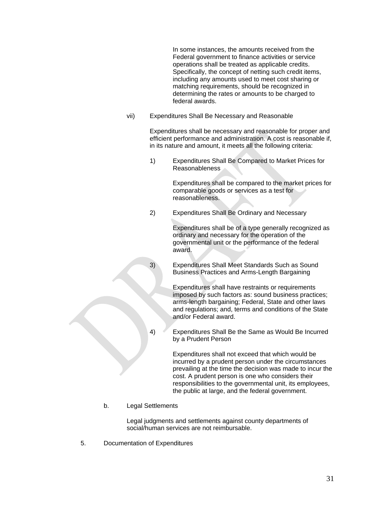In some instances, the amounts received from the Federal government to finance activities or service operations shall be treated as applicable credits. Specifically, the concept of netting such credit items, including any amounts used to meet cost sharing or matching requirements, should be recognized in determining the rates or amounts to be charged to federal awards.

vii) Expenditures Shall Be Necessary and Reasonable

 Expenditures shall be necessary and reasonable for proper and efficient performance and administration. A cost is reasonable if, in its nature and amount, it meets all the following criteria:

1) Expenditures Shall Be Compared to Market Prices for Reasonableness

> Expenditures shall be compared to the market prices for comparable goods or services as a test for reasonableness.

2) Expenditures Shall Be Ordinary and Necessary

 Expenditures shall be of a type generally recognized as ordinary and necessary for the operation of the governmental unit or the performance of the federal award.

3) Expenditures Shall Meet Standards Such as Sound Business Practices and Arms-Length Bargaining

> Expenditures shall have restraints or requirements imposed by such factors as: sound business practices; arms-length bargaining; Federal, State and other laws and regulations; and, terms and conditions of the State and/or Federal award.

4) Expenditures Shall Be the Same as Would Be Incurred by a Prudent Person

> Expenditures shall not exceed that which would be incurred by a prudent person under the circumstances prevailing at the time the decision was made to incur the cost. A prudent person is one who considers their responsibilities to the governmental unit, its employees, the public at large, and the federal government.

b. Legal Settlements

 Legal judgments and settlements against county departments of social/human services are not reimbursable.

5. Documentation of Expenditures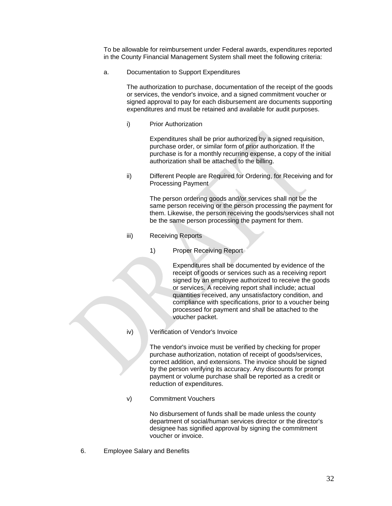To be allowable for reimbursement under Federal awards, expenditures reported in the County Financial Management System shall meet the following criteria:

a. Documentation to Support Expenditures

 The authorization to purchase, documentation of the receipt of the goods or services, the vendor's invoice, and a signed commitment voucher or signed approval to pay for each disbursement are documents supporting expenditures and must be retained and available for audit purposes.

i) Prior Authorization

 Expenditures shall be prior authorized by a signed requisition, purchase order, or similar form of prior authorization. If the purchase is for a monthly recurring expense, a copy of the initial authorization shall be attached to the billing.

ii) Different People are Required for Ordering, for Receiving and for Processing Payment

> The person ordering goods and/or services shall not be the same person receiving or the person processing the payment for them. Likewise, the person receiving the goods/services shall not be the same person processing the payment for them.

- iii) Receiving Reports
	- 1) Proper Receiving Report

 Expenditures shall be documented by evidence of the receipt of goods or services such as a receiving report signed by an employee authorized to receive the goods or services. A receiving report shall include; actual quantities received, any unsatisfactory condition, and compliance with specifications, prior to a voucher being processed for payment and shall be attached to the voucher packet.

iv) Verification of Vendor's Invoice

 The vendor's invoice must be verified by checking for proper purchase authorization, notation of receipt of goods/services, correct addition, and extensions. The invoice should be signed by the person verifying its accuracy. Any discounts for prompt payment or volume purchase shall be reported as a credit or reduction of expenditures.

v) Commitment Vouchers

 No disbursement of funds shall be made unless the county department of social/human services director or the director's designee has signified approval by signing the commitment voucher or invoice.

6. Employee Salary and Benefits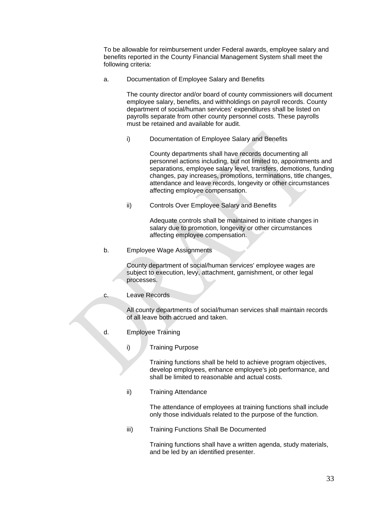To be allowable for reimbursement under Federal awards, employee salary and benefits reported in the County Financial Management System shall meet the following criteria:

a. Documentation of Employee Salary and Benefits

 The county director and/or board of county commissioners will document employee salary, benefits, and withholdings on payroll records. County department of social/human services' expenditures shall be listed on payrolls separate from other county personnel costs. These payrolls must be retained and available for audit.

i) Documentation of Employee Salary and Benefits

 County departments shall have records documenting all personnel actions including, but not limited to, appointments and separations, employee salary level, transfers, demotions, funding changes, pay increases, promotions, terminations, title changes, attendance and leave records, longevity or other circumstances affecting employee compensation.

ii) Controls Over Employee Salary and Benefits

 Adequate controls shall be maintained to initiate changes in salary due to promotion, longevity or other circumstances affecting employee compensation.

b. Employee Wage Assignments

 County department of social/human services' employee wages are subject to execution, levy, attachment, garnishment, or other legal processes.

c. Leave Records

 All county departments of social/human services shall maintain records of all leave both accrued and taken.

- d. Employee Training
	- i) Training Purpose

 Training functions shall be held to achieve program objectives, develop employees, enhance employee's job performance, and shall be limited to reasonable and actual costs.

ii) Training Attendance

 The attendance of employees at training functions shall include only those individuals related to the purpose of the function.

iii) Training Functions Shall Be Documented

 Training functions shall have a written agenda, study materials, and be led by an identified presenter.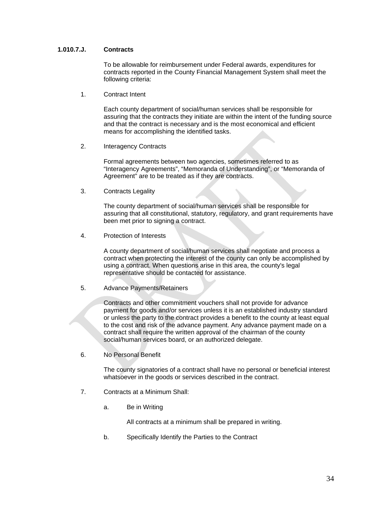### **1.010.7.J. Contracts**

To be allowable for reimbursement under Federal awards, expenditures for contracts reported in the County Financial Management System shall meet the following criteria:

1. Contract Intent

 Each county department of social/human services shall be responsible for assuring that the contracts they initiate are within the intent of the funding source and that the contract is necessary and is the most economical and efficient means for accomplishing the identified tasks.

2. Interagency Contracts

 Formal agreements between two agencies, sometimes referred to as "Interagency Agreements", "Memoranda of Understanding", or "Memoranda of Agreement" are to be treated as if they are contracts.

3. Contracts Legality

 The county department of social/human services shall be responsible for assuring that all constitutional, statutory, regulatory, and grant requirements have been met prior to signing a contract.

4. Protection of Interests

 A county department of social/human services shall negotiate and process a contract when protecting the interest of the county can only be accomplished by using a contract. When questions arise in this area, the county's legal representative should be contacted for assistance.

5. Advance Payments/Retainers

 Contracts and other commitment vouchers shall not provide for advance payment for goods and/or services unless it is an established industry standard or unless the party to the contract provides a benefit to the county at least equal to the cost and risk of the advance payment. Any advance payment made on a contract shall require the written approval of the chairman of the county social/human services board, or an authorized delegate.

6. No Personal Benefit

 The county signatories of a contract shall have no personal or beneficial interest whatsoever in the goods or services described in the contract.

- 7. Contracts at a Minimum Shall:
	- a. Be in Writing

All contracts at a minimum shall be prepared in writing.

b. Specifically Identify the Parties to the Contract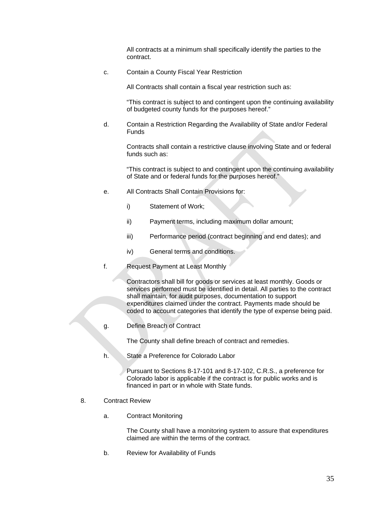All contracts at a minimum shall specifically identify the parties to the contract.

c. Contain a County Fiscal Year Restriction

All Contracts shall contain a fiscal year restriction such as:

 "This contract is subject to and contingent upon the continuing availability of budgeted county funds for the purposes hereof."

d. Contain a Restriction Regarding the Availability of State and/or Federal Funds

 Contracts shall contain a restrictive clause involving State and or federal funds such as:

 "This contract is subject to and contingent upon the continuing availability of State and or federal funds for the purposes hereof."

- e. All Contracts Shall Contain Provisions for:
	- i) Statement of Work;
	- ii) Payment terms, including maximum dollar amount;
	- iii) Performance period (contract beginning and end dates); and
	- iv) General terms and conditions.
- f. Request Payment at Least Monthly

 Contractors shall bill for goods or services at least monthly. Goods or services performed must be identified in detail. All parties to the contract shall maintain, for audit purposes, documentation to support expenditures claimed under the contract. Payments made should be coded to account categories that identify the type of expense being paid.

g. Define Breach of Contract

The County shall define breach of contract and remedies.

h. State a Preference for Colorado Labor

 Pursuant to Sections 8-17-101 and 8-17-102, C.R.S., a preference for Colorado labor is applicable if the contract is for public works and is financed in part or in whole with State funds.

- 8. Contract Review
	- a. Contract Monitoring

 The County shall have a monitoring system to assure that expenditures claimed are within the terms of the contract.

b. Review for Availability of Funds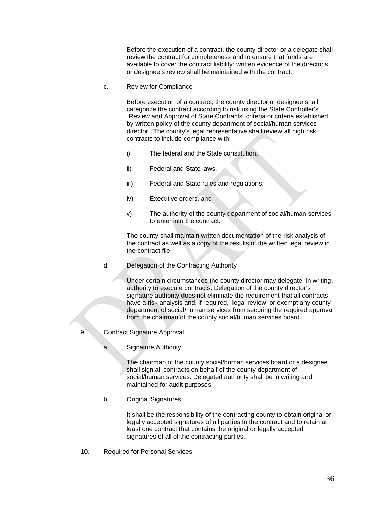Before the execution of a contract, the county director or a delegate shall review the contract for completeness and to ensure that funds are available to cover the contract liability; written evidence of the director's or designee's review shall be maintained with the contract.

c. Review for Compliance

 Before execution of a contract, the county director or designee shall categorize the contract according to risk using the State Controller's "Review and Approval of State Contracts" criteria or criteria established by written policy of the county department of social/human services director. The county's legal representative shall review all high risk contracts to include compliance with:

- i) The federal and the State constitution,
- ii) Federal and State laws,
- iii) Federal and State rules and regulations,
- iv) Executive orders, and
- v) The authority of the county department of social/human services to enter into the contract.

 The county shall maintain written documentation of the risk analysis of the contract as well as a copy of the results of the written legal review in the contract file.

d. Delegation of the Contracting Authority

 Under certain circumstances the county director may delegate, in writing, authority to execute contracts. Delegation of the county director's signature authority does not eliminate the requirement that all contracts have a risk analysis and, if required, legal review, or exempt any county department of social/human services from securing the required approval from the chairman of the county social/human services board.

- 9. Contract Signature Approval
	- a. Signature Authority

 The chairman of the county social/human services board or a designee shall sign all contracts on behalf of the county department of social/human services. Delegated authority shall be in writing and maintained for audit purposes.

b. Original Signatures

 It shall be the responsibility of the contracting county to obtain original or legally accepted signatures of all parties to the contract and to retain at least one contract that contains the original or legally accepted signatures of all of the contracting parties.

10. Required for Personal Services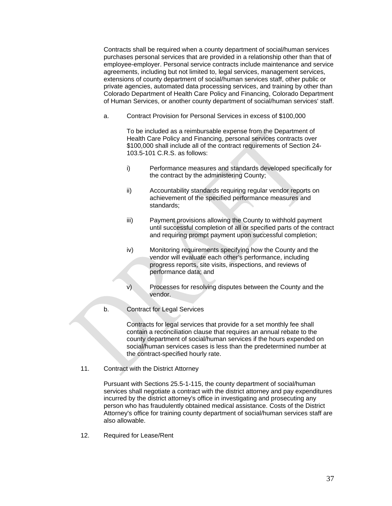Contracts shall be required when a county department of social/human services purchases personal services that are provided in a relationship other than that of employee-employer. Personal service contracts include maintenance and service agreements, including but not limited to, legal services, management services, extensions of county department of social/human services staff, other public or private agencies, automated data processing services, and training by other than Colorado Department of Health Care Policy and Financing, Colorado Department of Human Services, or another county department of social/human services' staff.

a. Contract Provision for Personal Services in excess of \$100,000

 To be included as a reimbursable expense from the Department of Health Care Policy and Financing, personal services contracts over \$100,000 shall include all of the contract requirements of Section 24- 103.5-101 C.R.S. as follows:

- i) Performance measures and standards developed specifically for the contract by the administering County;
- ii) Accountability standards requiring regular vendor reports on achievement of the specified performance measures and standards;
- iii) Payment provisions allowing the County to withhold payment until successful completion of all or specified parts of the contract and requiring prompt payment upon successful completion;
- iv) Monitoring requirements specifying how the County and the vendor will evaluate each other's performance, including progress reports, site visits, inspections, and reviews of performance data; and
- v) Processes for resolving disputes between the County and the vendor.
- b. Contract for Legal Services

 Contracts for legal services that provide for a set monthly fee shall contain a reconciliation clause that requires an annual rebate to the county department of social/human services if the hours expended on social/human services cases is less than the predetermined number at the contract-specified hourly rate.

11. Contract with the District Attorney

 Pursuant with Sections 25.5-1-115, the county department of social/human services shall negotiate a contract with the district attorney and pay expenditures incurred by the district attorney's office in investigating and prosecuting any person who has fraudulently obtained medical assistance. Costs of the District Attorney's office for training county department of social/human services staff are also allowable.

12. Required for Lease/Rent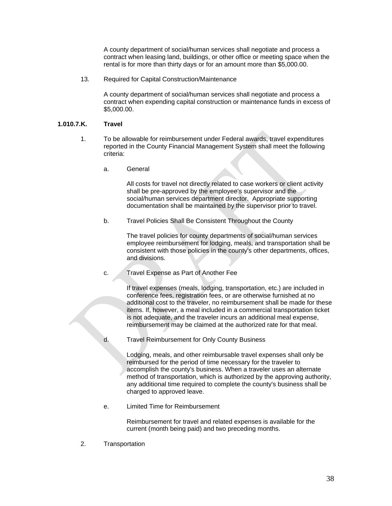A county department of social/human services shall negotiate and process a contract when leasing land, buildings, or other office or meeting space when the rental is for more than thirty days or for an amount more than \$5,000.00.

13. Required for Capital Construction/Maintenance

 A county department of social/human services shall negotiate and process a contract when expending capital construction or maintenance funds in excess of \$5,000.00.

#### **1.010.7.K. Travel**

- 1. To be allowable for reimbursement under Federal awards, travel expenditures reported in the County Financial Management System shall meet the following criteria:
	- a. General

 All costs for travel not directly related to case workers or client activity shall be pre-approved by the employee's supervisor and the social/human services department director. Appropriate supporting documentation shall be maintained by the supervisor prior to travel.

b. Travel Policies Shall Be Consistent Throughout the County

 The travel policies for county departments of social/human services employee reimbursement for lodging, meals, and transportation shall be consistent with those policies in the county's other departments, offices, and divisions.

c. Travel Expense as Part of Another Fee

 If travel expenses (meals, lodging, transportation, etc.) are included in conference fees, registration fees, or are otherwise furnished at no additional cost to the traveler, no reimbursement shall be made for these items. If, however, a meal included in a commercial transportation ticket is not adequate, and the traveler incurs an additional meal expense, reimbursement may be claimed at the authorized rate for that meal.

d. Travel Reimbursement for Only County Business

 Lodging, meals, and other reimbursable travel expenses shall only be reimbursed for the period of time necessary for the traveler to accomplish the county's business. When a traveler uses an alternate method of transportation, which is authorized by the approving authority, any additional time required to complete the county's business shall be charged to approved leave.

e. Limited Time for Reimbursement

 Reimbursement for travel and related expenses is available for the current (month being paid) and two preceding months.

2. Transportation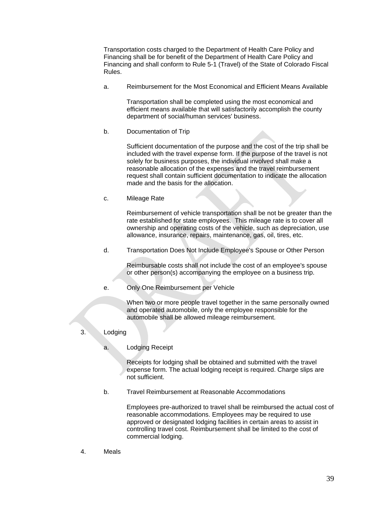Transportation costs charged to the Department of Health Care Policy and Financing shall be for benefit of the Department of Health Care Policy and Financing and shall conform to Rule 5-1 (Travel) of the State of Colorado Fiscal Rules.

a. Reimbursement for the Most Economical and Efficient Means Available

 Transportation shall be completed using the most economical and efficient means available that will satisfactorily accomplish the county department of social/human services' business.

b. Documentation of Trip

 Sufficient documentation of the purpose and the cost of the trip shall be included with the travel expense form. If the purpose of the travel is not solely for business purposes, the individual involved shall make a reasonable allocation of the expenses and the travel reimbursement request shall contain sufficient documentation to indicate the allocation made and the basis for the allocation.

c. Mileage Rate

 Reimbursement of vehicle transportation shall be not be greater than the rate established for state employees. This mileage rate is to cover all ownership and operating costs of the vehicle, such as depreciation, use allowance, insurance, repairs, maintenance, gas, oil, tires, etc.

d. Transportation Does Not Include Employee's Spouse or Other Person

 Reimbursable costs shall not include the cost of an employee's spouse or other person(s) accompanying the employee on a business trip.

e. Only One Reimbursement per Vehicle

 When two or more people travel together in the same personally owned and operated automobile, only the employee responsible for the automobile shall be allowed mileage reimbursement.

- 3. Lodging
	- a. Lodging Receipt

 Receipts for lodging shall be obtained and submitted with the travel expense form. The actual lodging receipt is required. Charge slips are not sufficient.

b. Travel Reimbursement at Reasonable Accommodations

 Employees pre-authorized to travel shall be reimbursed the actual cost of reasonable accommodations. Employees may be required to use approved or designated lodging facilities in certain areas to assist in controlling travel cost. Reimbursement shall be limited to the cost of commercial lodging.

4. Meals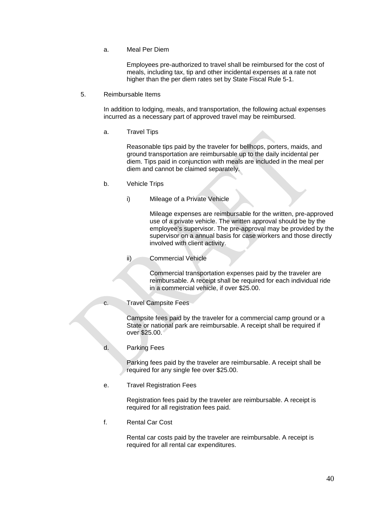a. Meal Per Diem

 Employees pre-authorized to travel shall be reimbursed for the cost of meals, including tax, tip and other incidental expenses at a rate not higher than the per diem rates set by State Fiscal Rule 5-1.

5. Reimbursable Items

 In addition to lodging, meals, and transportation, the following actual expenses incurred as a necessary part of approved travel may be reimbursed.

a. Travel Tips

 Reasonable tips paid by the traveler for bellhops, porters, maids, and ground transportation are reimbursable up to the daily incidental per diem. Tips paid in conjunction with meals are included in the meal per diem and cannot be claimed separately.

- b. Vehicle Trips
	- i) Mileage of a Private Vehicle

 Mileage expenses are reimbursable for the written, pre-approved use of a private vehicle. The written approval should be by the employee's supervisor. The pre-approval may be provided by the supervisor on a annual basis for case workers and those directly involved with client activity.

ii) Commercial Vehicle

 Commercial transportation expenses paid by the traveler are reimbursable. A receipt shall be required for each individual ride in a commercial vehicle, if over \$25.00.

c. Travel Campsite Fees

 Campsite fees paid by the traveler for a commercial camp ground or a State or national park are reimbursable. A receipt shall be required if over \$25.00.

d. Parking Fees

 Parking fees paid by the traveler are reimbursable. A receipt shall be required for any single fee over \$25.00.

e. Travel Registration Fees

 Registration fees paid by the traveler are reimbursable. A receipt is required for all registration fees paid.

f. Rental Car Cost

 Rental car costs paid by the traveler are reimbursable. A receipt is required for all rental car expenditures.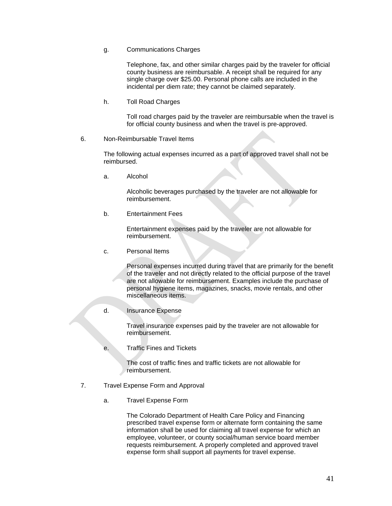g. Communications Charges

 Telephone, fax, and other similar charges paid by the traveler for official county business are reimbursable. A receipt shall be required for any single charge over \$25.00. Personal phone calls are included in the incidental per diem rate; they cannot be claimed separately.

h. Toll Road Charges

 Toll road charges paid by the traveler are reimbursable when the travel is for official county business and when the travel is pre-approved.

6. Non-Reimbursable Travel Items

 The following actual expenses incurred as a part of approved travel shall not be reimbursed.

a. Alcohol

 Alcoholic beverages purchased by the traveler are not allowable for reimbursement.

b. Entertainment Fees

 Entertainment expenses paid by the traveler are not allowable for reimbursement.

c. Personal Items

 Personal expenses incurred during travel that are primarily for the benefit of the traveler and not directly related to the official purpose of the travel are not allowable for reimbursement. Examples include the purchase of personal hygiene items, magazines, snacks, movie rentals, and other miscellaneous items.

d. Insurance Expense

 Travel insurance expenses paid by the traveler are not allowable for reimbursement.

e. Traffic Fines and Tickets

 The cost of traffic fines and traffic tickets are not allowable for reimbursement.

- 7. Travel Expense Form and Approval
	- a. Travel Expense Form

 The Colorado Department of Health Care Policy and Financing prescribed travel expense form or alternate form containing the same information shall be used for claiming all travel expense for which an employee, volunteer, or county social/human service board member requests reimbursement. A properly completed and approved travel expense form shall support all payments for travel expense.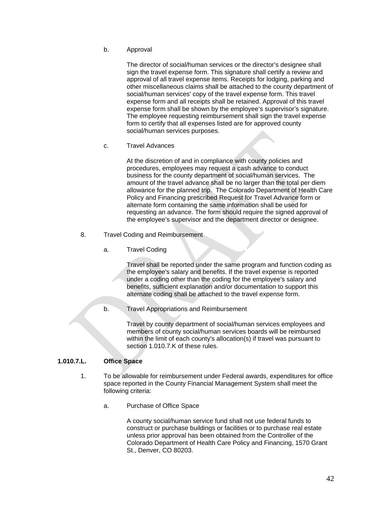b. Approval

 The director of social/human services or the director's designee shall sign the travel expense form. This signature shall certify a review and approval of all travel expense items. Receipts for lodging, parking and other miscellaneous claims shall be attached to the county department of social/human services' copy of the travel expense form. This travel expense form and all receipts shall be retained. Approval of this travel expense form shall be shown by the employee's supervisor's signature. The employee requesting reimbursement shall sign the travel expense form to certify that all expenses listed are for approved county social/human services purposes.

c. Travel Advances

 At the discretion of and in compliance with county policies and procedures, employees may request a cash advance to conduct business for the county department of social/human services. The amount of the travel advance shall be no larger than the total per diem allowance for the planned trip. The Colorado Department of Health Care Policy and Financing prescribed Request for Travel Advance form or alternate form containing the same information shall be used for requesting an advance. The form should require the signed approval of the employee's supervisor and the department director or designee.

- 8. Travel Coding and Reimbursement
	- a. Travel Coding

 Travel shall be reported under the same program and function coding as the employee's salary and benefits. If the travel expense is reported under a coding other than the coding for the employee's salary and benefits, sufficient explanation and/or documentation to support this alternate coding shall be attached to the travel expense form.

b. Travel Appropriations and Reimbursement

 Travel by county department of social/human services employees and members of county social/human services boards will be reimbursed within the limit of each county's allocation(s) if travel was pursuant to section 1.010.7 K of these rules.

#### **1.010.7.L. Office Space**

- 1. To be allowable for reimbursement under Federal awards, expenditures for office space reported in the County Financial Management System shall meet the following criteria:
	- a. Purchase of Office Space

 A county social/human service fund shall not use federal funds to construct or purchase buildings or facilities or to purchase real estate unless prior approval has been obtained from the Controller of the Colorado Department of Health Care Policy and Financing, 1570 Grant St., Denver, CO 80203.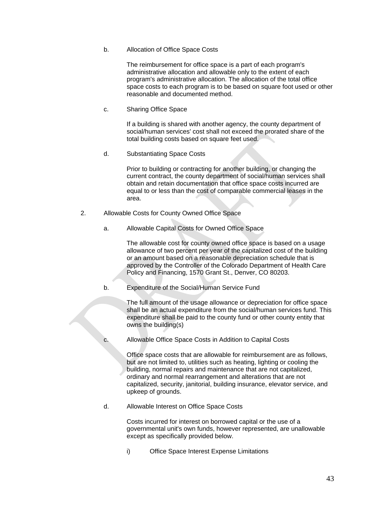### b. Allocation of Office Space Costs

 The reimbursement for office space is a part of each program's administrative allocation and allowable only to the extent of each program's administrative allocation. The allocation of the total office space costs to each program is to be based on square foot used or other reasonable and documented method.

c. Sharing Office Space

 If a building is shared with another agency, the county department of social/human services' cost shall not exceed the prorated share of the total building costs based on square feet used.

d. Substantiating Space Costs

 Prior to building or contracting for another building, or changing the current contract, the county department of social/human services shall obtain and retain documentation that office space costs incurred are equal to or less than the cost of comparable commercial leases in the area.

- 2. Allowable Costs for County Owned Office Space
	- a. Allowable Capital Costs for Owned Office Space

 The allowable cost for county owned office space is based on a usage allowance of two percent per year of the capitalized cost of the building or an amount based on a reasonable depreciation schedule that is approved by the Controller of the Colorado Department of Health Care Policy and Financing, 1570 Grant St., Denver, CO 80203.

b. Expenditure of the Social/Human Service Fund

 The full amount of the usage allowance or depreciation for office space shall be an actual expenditure from the social/human services fund. This expenditure shall be paid to the county fund or other county entity that owns the building(s)

c. Allowable Office Space Costs in Addition to Capital Costs

 Office space costs that are allowable for reimbursement are as follows, but are not limited to, utilities such as heating, lighting or cooling the building, normal repairs and maintenance that are not capitalized, ordinary and normal rearrangement and alterations that are not capitalized, security, janitorial, building insurance, elevator service, and upkeep of grounds.

d. Allowable Interest on Office Space Costs

 Costs incurred for interest on borrowed capital or the use of a governmental unit's own funds, however represented, are unallowable except as specifically provided below.

i) Office Space Interest Expense Limitations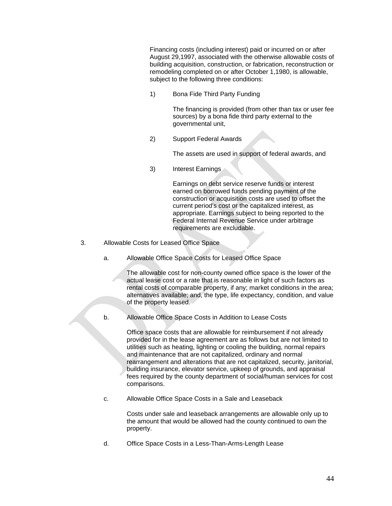Financing costs (including interest) paid or incurred on or after August 29,1997, associated with the otherwise allowable costs of building acquisition, construction, or fabrication, reconstruction or remodeling completed on or after October 1,1980, is allowable, subject to the following three conditions:

1) Bona Fide Third Party Funding

 The financing is provided (from other than tax or user fee sources) by a bona fide third party external to the governmental unit,

2) Support Federal Awards

The assets are used in support of federal awards, and

3) Interest Earnings

 Earnings on debt service reserve funds or interest earned on borrowed funds pending payment of the construction or acquisition costs are used to offset the current period's cost or the capitalized interest, as appropriate. Earnings subject to being reported to the Federal Internal Revenue Service under arbitrage requirements are excludable.

- 3. Allowable Costs for Leased Office Space
	- a. Allowable Office Space Costs for Leased Office Space

 The allowable cost for non-county owned office space is the lower of the actual lease cost or a rate that is reasonable in light of such factors as rental costs of comparable property, if any; market conditions in the area; alternatives available; and, the type, life expectancy, condition, and value of the property leased.

b. Allowable Office Space Costs in Addition to Lease Costs

 Office space costs that are allowable for reimbursement if not already provided for in the lease agreement are as follows but are not limited to utilities such as heating, lighting or cooling the building, normal repairs and maintenance that are not capitalized, ordinary and normal rearrangement and alterations that are not capitalized, security, janitorial, building insurance, elevator service, upkeep of grounds, and appraisal fees required by the county department of social/human services for cost comparisons.

c. Allowable Office Space Costs in a Sale and Leaseback

 Costs under sale and leaseback arrangements are allowable only up to the amount that would be allowed had the county continued to own the property.

d. Office Space Costs in a Less-Than-Arms-Length Lease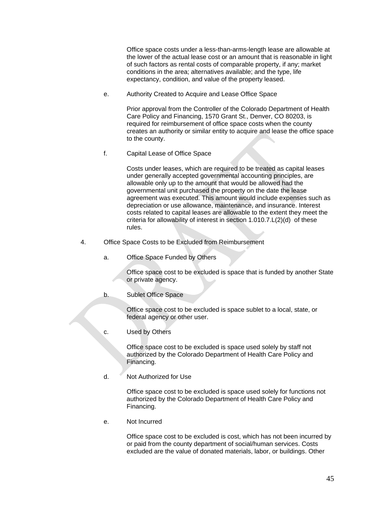Office space costs under a less-than-arms-length lease are allowable at the lower of the actual lease cost or an amount that is reasonable in light of such factors as rental costs of comparable property, if any; market conditions in the area; alternatives available; and the type, life expectancy, condition, and value of the property leased.

e. Authority Created to Acquire and Lease Office Space

 Prior approval from the Controller of the Colorado Department of Health Care Policy and Financing, 1570 Grant St., Denver, CO 80203, is required for reimbursement of office space costs when the county creates an authority or similar entity to acquire and lease the office space to the county.

f. Capital Lease of Office Space

 Costs under leases, which are required to be treated as capital leases under generally accepted governmental accounting principles, are allowable only up to the amount that would be allowed had the governmental unit purchased the property on the date the lease agreement was executed. This amount would include expenses such as depreciation or use allowance, maintenance, and insurance. Interest costs related to capital leases are allowable to the extent they meet the criteria for allowability of interest in section 1.010.7.L(2)(d) of these rules.

- 4. Office Space Costs to be Excluded from Reimbursement
	- a. Office Space Funded by Others

 Office space cost to be excluded is space that is funded by another State or private agency.

b. Sublet Office Space

 Office space cost to be excluded is space sublet to a local, state, or federal agency or other user.

c. Used by Others

 Office space cost to be excluded is space used solely by staff not authorized by the Colorado Department of Health Care Policy and Financing.

d. Not Authorized for Use

 Office space cost to be excluded is space used solely for functions not authorized by the Colorado Department of Health Care Policy and Financing.

e. Not Incurred

 Office space cost to be excluded is cost, which has not been incurred by or paid from the county department of social/human services. Costs excluded are the value of donated materials, labor, or buildings. Other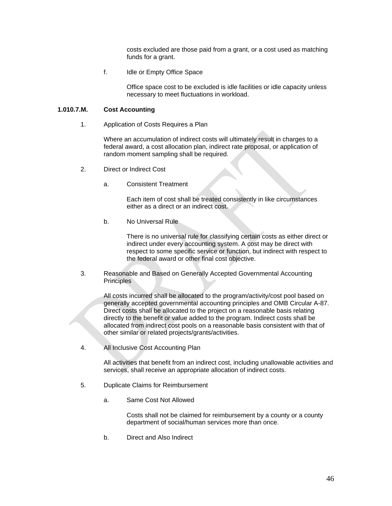costs excluded are those paid from a grant, or a cost used as matching funds for a grant.

f. Idle or Empty Office Space

 Office space cost to be excluded is idle facilities or idle capacity unless necessary to meet fluctuations in workload.

### **1.010.7.M. Cost Accounting**

1. Application of Costs Requires a Plan

 Where an accumulation of indirect costs will ultimately result in charges to a federal award, a cost allocation plan, indirect rate proposal, or application of random moment sampling shall be required.

- 2. Direct or Indirect Cost
	- a. Consistent Treatment

 Each item of cost shall be treated consistently in like circumstances either as a direct or an indirect cost.

b. No Universal Rule

 There is no universal rule for classifying certain costs as either direct or indirect under every accounting system. A cost may be direct with respect to some specific service or function, but indirect with respect to the federal award or other final cost objective.

3. Reasonable and Based on Generally Accepted Governmental Accounting **Principles** 

> All costs incurred shall be allocated to the program/activity/cost pool based on generally accepted governmental accounting principles and OMB Circular A-87. Direct costs shall be allocated to the project on a reasonable basis relating directly to the benefit or value added to the program. Indirect costs shall be allocated from indirect cost pools on a reasonable basis consistent with that of other similar or related projects/grants/activities.

4. All Inclusive Cost Accounting Plan

 All activities that benefit from an indirect cost, including unallowable activities and services, shall receive an appropriate allocation of indirect costs.

- 5. Duplicate Claims for Reimbursement
	- a. Same Cost Not Allowed

 Costs shall not be claimed for reimbursement by a county or a county department of social/human services more than once.

b. Direct and Also Indirect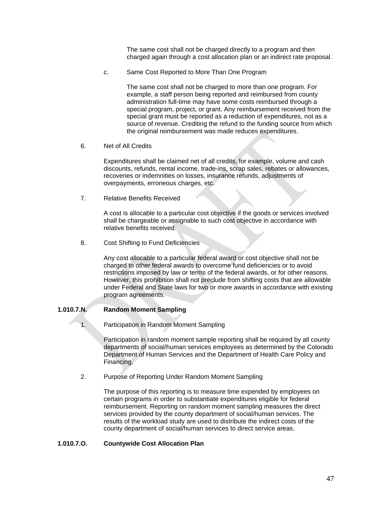The same cost shall not be charged directly to a program and then charged again through a cost allocation plan or an indirect rate proposal.

c. Same Cost Reported to More Than One Program

 The same cost shall not be charged to more than one program. For example, a staff person being reported and reimbursed from county administration full-time may have some costs reimbursed through a special program, project, or grant. Any reimbursement received from the special grant must be reported as a reduction of expenditures, not as a source of revenue. Crediting the refund to the funding source from which the original reimbursement was made reduces expenditures.

6. Net of All Credits

 Expenditures shall be claimed net of all credits, for example, volume and cash discounts, refunds, rental income, trade-ins, scrap sales, rebates or allowances, recoveries or indemnities on losses, insurance refunds, adjustments of overpayments, erroneous charges, etc.

7. Relative Benefits Received

 A cost is allocable to a particular cost objective if the goods or services involved shall be chargeable or assignable to such cost objective in accordance with relative benefits received.

8. Cost Shifting to Fund Deficiencies

 Any cost allocable to a particular federal award or cost objective shall not be charged to other federal awards to overcome fund deficiencies or to avoid restrictions imposed by law or terms of the federal awards, or for other reasons. However, this prohibition shall not preclude from shifting costs that are allowable under Federal and State laws for two or more awards in accordance with existing program agreements.

# **1.010.7.N. Random Moment Sampling**

1. Participation in Random Moment Sampling

 Participation in random moment sample reporting shall be required by all county departments of social/human services employees as determined by the Colorado Department of Human Services and the Department of Health Care Policy and Financing.

2. Purpose of Reporting Under Random Moment Sampling

 The purpose of this reporting is to measure time expended by employees on certain programs in order to substantiate expenditures eligible for federal reimbursement. Reporting on random moment sampling measures the direct services provided by the county department of social/human services. The results of the workload study are used to distribute the indirect costs of the county department of social/human services to direct service areas.

#### **1.010.7.O. Countywide Cost Allocation Plan**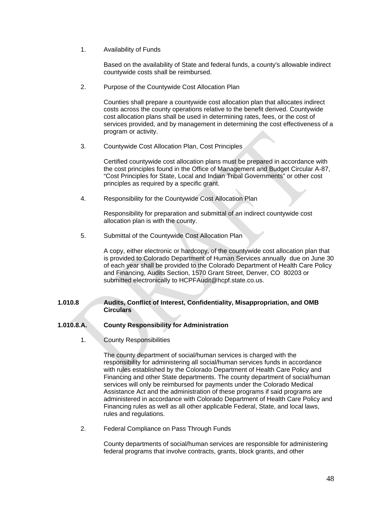1. Availability of Funds

 Based on the availability of State and federal funds, a county's allowable indirect countywide costs shall be reimbursed.

2. Purpose of the Countywide Cost Allocation Plan

 Counties shall prepare a countywide cost allocation plan that allocates indirect costs across the county operations relative to the benefit derived. Countywide cost allocation plans shall be used in determining rates, fees, or the cost of services provided, and by management in determining the cost effectiveness of a program or activity.

3. Countywide Cost Allocation Plan, Cost Principles

 Certified countywide cost allocation plans must be prepared in accordance with the cost principles found in the Office of Management and Budget Circular A-87, "Cost Principles for State, Local and Indian Tribal Governments" or other cost principles as required by a specific grant.

4. Responsibility for the Countywide Cost Allocation Plan

 Responsibility for preparation and submittal of an indirect countywide cost allocation plan is with the county.

5. Submittal of the Countywide Cost Allocation Plan

 A copy, either electronic or hardcopy, of the countywide cost allocation plan that is provided to Colorado Department of Human Services annually due on June 30 of each year shall be provided to the Colorado Department of Health Care Policy and Financing, Audits Section, 1570 Grant Street, Denver, CO 80203 or submitted electronically to HCPFAudit@hcpf.state.co.us.

# **1.010.8 Audits, Conflict of Interest, Confidentiality, Misappropriation, and OMB Circulars**

# **1.010.8.A. County Responsibility for Administration**

1. County Responsibilities

 The county department of social/human services is charged with the responsibility for administering all social/human services funds in accordance with rules established by the Colorado Department of Health Care Policy and Financing and other State departments. The county department of social/human services will only be reimbursed for payments under the Colorado Medical Assistance Act and the administration of these programs if said programs are administered in accordance with Colorado Department of Health Care Policy and Financing rules as well as all other applicable Federal, State, and local laws, rules and regulations.

2. Federal Compliance on Pass Through Funds

 County departments of social/human services are responsible for administering federal programs that involve contracts, grants, block grants, and other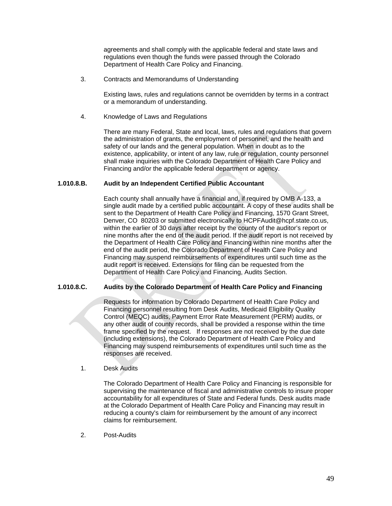agreements and shall comply with the applicable federal and state laws and regulations even though the funds were passed through the Colorado Department of Health Care Policy and Financing.

3. Contracts and Memorandums of Understanding

 Existing laws, rules and regulations cannot be overridden by terms in a contract or a memorandum of understanding.

4. Knowledge of Laws and Regulations

 There are many Federal, State and local, laws, rules and regulations that govern the administration of grants, the employment of personnel, and the health and safety of our lands and the general population. When in doubt as to the existence, applicability, or intent of any law, rule or regulation, county personnel shall make inquiries with the Colorado Department of Health Care Policy and Financing and/or the applicable federal department or agency.

### **1.010.8.B. Audit by an Independent Certified Public Accountant**

Each county shall annually have a financial and, if required by OMB A-133, a single audit made by a certified public accountant. A copy of these audits shall be sent to the Department of Health Care Policy and Financing, 1570 Grant Street, Denver, CO 80203 or submitted electronically to HCPFAudit@hcpf.state.co.us, within the earlier of 30 days after receipt by the county of the auditor's report or nine months after the end of the audit period. If the audit report is not received by the Department of Health Care Policy and Financing within nine months after the end of the audit period, the Colorado Department of Health Care Policy and Financing may suspend reimbursements of expenditures until such time as the audit report is received. Extensions for filing can be requested from the Department of Health Care Policy and Financing, Audits Section.

# **1.010.8.C. Audits by the Colorado Department of Health Care Policy and Financing**

Requests for information by Colorado Department of Health Care Policy and Financing personnel resulting from Desk Audits, Medicaid Eligibility Quality Control (MEQC) audits, Payment Error Rate Measurement (PERM) audits, or any other audit of county records, shall be provided a response within the time frame specified by the request. If responses are not received by the due date (including extensions), the Colorado Department of Health Care Policy and Financing may suspend reimbursements of expenditures until such time as the responses are received.

#### 1. Desk Audits

 The Colorado Department of Health Care Policy and Financing is responsible for supervising the maintenance of fiscal and administrative controls to insure proper accountability for all expenditures of State and Federal funds. Desk audits made at the Colorado Department of Health Care Policy and Financing may result in reducing a county's claim for reimbursement by the amount of any incorrect claims for reimbursement.

2. Post-Audits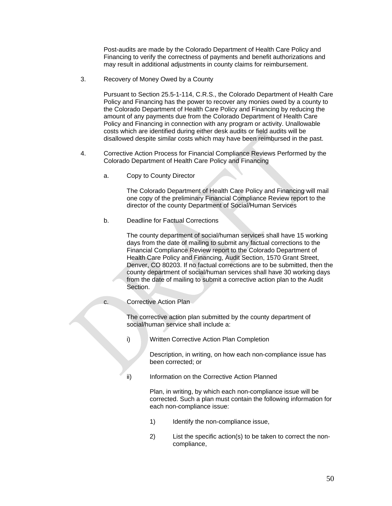Post-audits are made by the Colorado Department of Health Care Policy and Financing to verify the correctness of payments and benefit authorizations and may result in additional adjustments in county claims for reimbursement.

3. Recovery of Money Owed by a County

 Pursuant to Section 25.5-1-114, C.R.S., the Colorado Department of Health Care Policy and Financing has the power to recover any monies owed by a county to the Colorado Department of Health Care Policy and Financing by reducing the amount of any payments due from the Colorado Department of Health Care Policy and Financing in connection with any program or activity. Unallowable costs which are identified during either desk audits or field audits will be disallowed despite similar costs which may have been reimbursed in the past.

- 4. Corrective Action Process for Financial Compliance Reviews Performed by the Colorado Department of Health Care Policy and Financing
	- a. Copy to County Director

 The Colorado Department of Health Care Policy and Financing will mail one copy of the preliminary Financial Compliance Review report to the director of the county Department of Social/Human Services

b. Deadline for Factual Corrections

 The county department of social/human services shall have 15 working days from the date of mailing to submit any factual corrections to the Financial Compliance Review report to the Colorado Department of Health Care Policy and Financing, Audit Section, 1570 Grant Street, Denver, CO 80203. If no factual corrections are to be submitted, then the county department of social/human services shall have 30 working days from the date of mailing to submit a corrective action plan to the Audit Section.

c. Corrective Action Plan

 The corrective action plan submitted by the county department of social/human service shall include a:

i) Written Corrective Action Plan Completion

 Description, in writing, on how each non-compliance issue has been corrected; or

ii) Information on the Corrective Action Planned

 Plan, in writing, by which each non-compliance issue will be corrected. Such a plan must contain the following information for each non-compliance issue:

- 1) Identify the non-compliance issue,
- 2) List the specific action(s) to be taken to correct the noncompliance,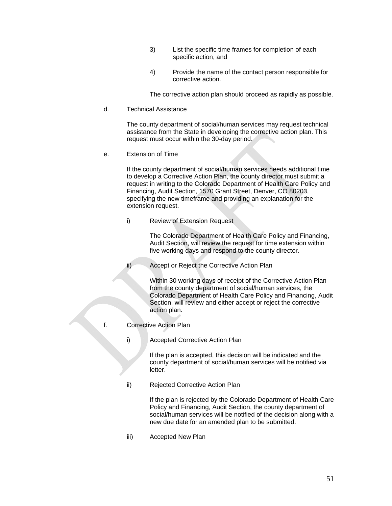- 3) List the specific time frames for completion of each specific action, and
- 4) Provide the name of the contact person responsible for corrective action.

The corrective action plan should proceed as rapidly as possible.

d. Technical Assistance

 The county department of social/human services may request technical assistance from the State in developing the corrective action plan. This request must occur within the 30-day period.

e. Extension of Time

 If the county department of social/human services needs additional time to develop a Corrective Action Plan, the county director must submit a request in writing to the Colorado Department of Health Care Policy and Financing, Audit Section, 1570 Grant Street, Denver, CO 80203, specifying the new timeframe and providing an explanation for the extension request.

i) Review of Extension Request

 The Colorado Department of Health Care Policy and Financing, Audit Section, will review the request for time extension within five working days and respond to the county director.

ii) Accept or Reject the Corrective Action Plan

 Within 30 working days of receipt of the Corrective Action Plan from the county department of social/human services, the Colorado Department of Health Care Policy and Financing, Audit Section, will review and either accept or reject the corrective action plan.

f. Corrective Action Plan

i) Accepted Corrective Action Plan

 If the plan is accepted, this decision will be indicated and the county department of social/human services will be notified via letter.

ii) Rejected Corrective Action Plan

 If the plan is rejected by the Colorado Department of Health Care Policy and Financing, Audit Section, the county department of social/human services will be notified of the decision along with a new due date for an amended plan to be submitted.

iii) Accepted New Plan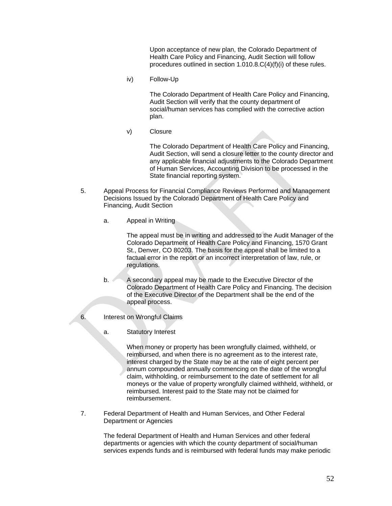Upon acceptance of new plan, the Colorado Department of Health Care Policy and Financing, Audit Section will follow procedures outlined in section 1.010.8.C(4)(f)(i) of these rules.

iv) Follow-Up

 The Colorado Department of Health Care Policy and Financing, Audit Section will verify that the county department of social/human services has complied with the corrective action plan.

v) Closure

 The Colorado Department of Health Care Policy and Financing, Audit Section, will send a closure letter to the county director and any applicable financial adjustments to the Colorado Department of Human Services, Accounting Division to be processed in the State financial reporting system.

- 5. Appeal Process for Financial Compliance Reviews Performed and Management Decisions Issued by the Colorado Department of Health Care Policy and Financing, Audit Section
	- a. Appeal in Writing

 The appeal must be in writing and addressed to the Audit Manager of the Colorado Department of Health Care Policy and Financing, 1570 Grant St., Denver, CO 80203. The basis for the appeal shall be limited to a factual error in the report or an incorrect interpretation of law, rule, or regulations.

- b. A secondary appeal may be made to the Executive Director of the Colorado Department of Health Care Policy and Financing. The decision of the Executive Director of the Department shall be the end of the appeal process.
- 6. Interest on Wrongful Claims
	- a. Statutory Interest

 When money or property has been wrongfully claimed, withheld, or reimbursed, and when there is no agreement as to the interest rate, interest charged by the State may be at the rate of eight percent per annum compounded annually commencing on the date of the wrongful claim, withholding, or reimbursement to the date of settlement for all moneys or the value of property wrongfully claimed withheld, withheld, or reimbursed. Interest paid to the State may not be claimed for reimbursement.

7. Federal Department of Health and Human Services, and Other Federal Department or Agencies

> The federal Department of Health and Human Services and other federal departments or agencies with which the county department of social/human services expends funds and is reimbursed with federal funds may make periodic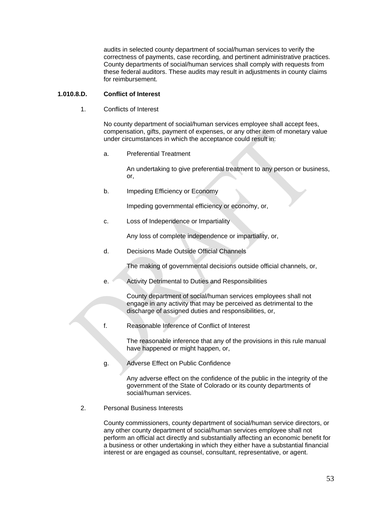audits in selected county department of social/human services to verify the correctness of payments, case recording, and pertinent administrative practices. County departments of social/human services shall comply with requests from these federal auditors. These audits may result in adjustments in county claims for reimbursement.

### **1.010.8.D. Conflict of Interest**

1. Conflicts of Interest

 No county department of social/human services employee shall accept fees, compensation, gifts, payment of expenses, or any other item of monetary value under circumstances in which the acceptance could result in:

a. Preferential Treatment

 An undertaking to give preferential treatment to any person or business, or,

b. Impeding Efficiency or Economy

Impeding governmental efficiency or economy, or,

c. Loss of Independence or Impartiality

Any loss of complete independence or impartiality, or,

d. Decisions Made Outside Official Channels

The making of governmental decisions outside official channels, or,

e. Activity Detrimental to Duties and Responsibilities

 County department of social/human services employees shall not engage in any activity that may be perceived as detrimental to the discharge of assigned duties and responsibilities, or,

f. Reasonable Inference of Conflict of Interest

 The reasonable inference that any of the provisions in this rule manual have happened or might happen, or,

g. Adverse Effect on Public Confidence

 Any adverse effect on the confidence of the public in the integrity of the government of the State of Colorado or its county departments of social/human services.

2. Personal Business Interests

 County commissioners, county department of social/human service directors, or any other county department of social/human services employee shall not perform an official act directly and substantially affecting an economic benefit for a business or other undertaking in which they either have a substantial financial interest or are engaged as counsel, consultant, representative, or agent.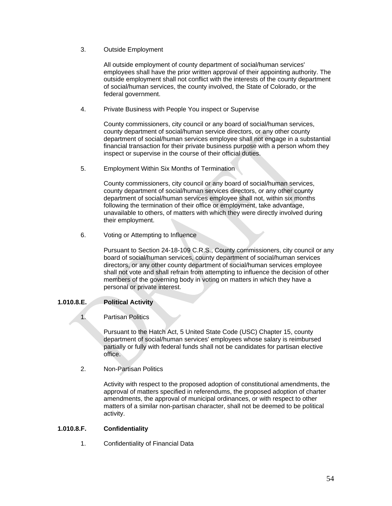3. Outside Employment

 All outside employment of county department of social/human services' employees shall have the prior written approval of their appointing authority. The outside employment shall not conflict with the interests of the county department of social/human services, the county involved, the State of Colorado, or the federal government.

4. Private Business with People You inspect or Supervise

 County commissioners, city council or any board of social/human services, county department of social/human service directors, or any other county department of social/human services employee shall not engage in a substantial financial transaction for their private business purpose with a person whom they inspect or supervise in the course of their official duties.

5. Employment Within Six Months of Termination

 County commissioners, city council or any board of social/human services, county department of social/human services directors, or any other county department of social/human services employee shall not, within six months following the termination of their office or employment, take advantage, unavailable to others, of matters with which they were directly involved during their employment.

6. Voting or Attempting to Influence

 Pursuant to Section 24-18-109 C.R.S., County commissioners, city council or any board of social/human services, county department of social/human services directors, or any other county department of social/human services employee shall not vote and shall refrain from attempting to influence the decision of other members of the governing body in voting on matters in which they have a personal or private interest.

# **1.010.8.E. Political Activity**

# 1. Partisan Politics

 Pursuant to the Hatch Act, 5 United State Code (USC) Chapter 15, county department of social/human services' employees whose salary is reimbursed partially or fully with federal funds shall not be candidates for partisan elective office.

2. Non-Partisan Politics

 Activity with respect to the proposed adoption of constitutional amendments, the approval of matters specified in referendums, the proposed adoption of charter amendments, the approval of municipal ordinances, or with respect to other matters of a similar non-partisan character, shall not be deemed to be political activity.

# **1.010.8.F. Confidentiality**

1. Confidentiality of Financial Data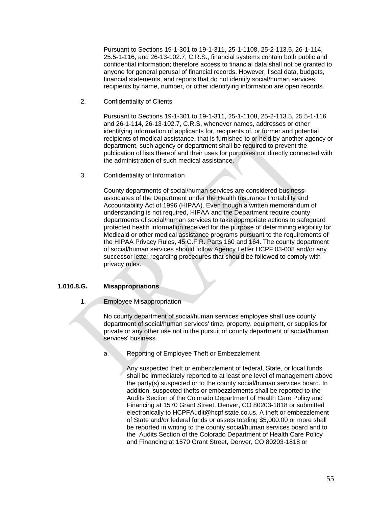Pursuant to Sections 19-1-301 to 19-1-311, 25-1-1108, 25-2-113.5, 26-1-114, 25.5-1-116, and 26-13-102.7, C.R.S., financial systems contain both public and confidential information; therefore access to financial data shall not be granted to anyone for general perusal of financial records. However, fiscal data, budgets, financial statements, and reports that do not identify social/human services recipients by name, number, or other identifying information are open records.

2. Confidentiality of Clients

 Pursuant to Sections 19-1-301 to 19-1-311, 25-1-1108, 25-2-113.5, 25.5-1-116 and 26-1-114, 26-13-102.7, C.R.S, whenever names, addresses or other identifying information of applicants for, recipients of, or former and potential recipients of medical assistance, that is furnished to or held by another agency or department, such agency or department shall be required to prevent the publication of lists thereof and their uses for purposes not directly connected with the administration of such medical assistance.

3. Confidentiality of Information

 County departments of social/human services are considered business associates of the Department under the Health Insurance Portability and Accountability Act of 1996 (HIPAA). Even though a written memorandum of understanding is not required, HIPAA and the Department require county departments of social/human services to take appropriate actions to safeguard protected health information received for the purpose of determining eligibility for Medicaid or other medical assistance programs pursuant to the requirements of the HIPAA Privacy Rules, 45 C.F.R. Parts 160 and 164. The county department of social/human services should follow Agency Letter HCPF 03-008 and/or any successor letter regarding procedures that should be followed to comply with privacy rules.

# **1.010.8.G. Misappropriations**

1. Employee Misappropriation

 No county department of social/human services employee shall use county department of social/human services' time, property, equipment, or supplies for private or any other use not in the pursuit of county department of social/human services' business.

a. Reporting of Employee Theft or Embezzlement

 Any suspected theft or embezzlement of federal, State, or local funds shall be immediately reported to at least one level of management above the party(s) suspected or to the county social/human services board. In addition, suspected thefts or embezzlements shall be reported to the Audits Section of the Colorado Department of Health Care Policy and Financing at 1570 Grant Street, Denver, CO 80203-1818 or submitted electronically to HCPFAudit@hcpf.state.co.us. A theft or embezzlement of State and/or federal funds or assets totaling \$5,000.00 or more shall be reported in writing to the county social/human services board and to the Audits Section of the Colorado Department of Health Care Policy and Financing at 1570 Grant Street, Denver, CO 80203-1818 or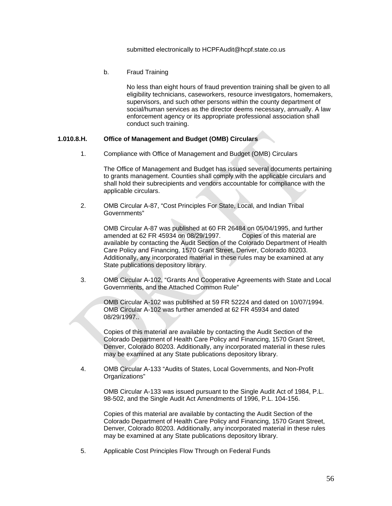#### submitted electronically to HCPFAudit@hcpf.state.co.us

b. Fraud Training

 No less than eight hours of fraud prevention training shall be given to all eligibility technicians, caseworkers, resource investigators, homemakers, supervisors, and such other persons within the county department of social/human services as the director deems necessary, annually. A law enforcement agency or its appropriate professional association shall conduct such training.

### **1.010.8.H. Office of Management and Budget (OMB) Circulars**

1. Compliance with Office of Management and Budget (OMB) Circulars

 The Office of Management and Budget has issued several documents pertaining to grants management. Counties shall comply with the applicable circulars and shall hold their subrecipients and vendors accountable for compliance with the applicable circulars.

2. OMB Circular A-87, "Cost Principles For State, Local, and Indian Tribal Governments"

 OMB Circular A-87 was published at 60 FR 26484 on 05/04/1995, and further amended at 62 FR 45934 on 08/29/1997. Copies of this material are available by contacting the Audit Section of the Colorado Department of Health Care Policy and Financing, 1570 Grant Street, Denver, Colorado 80203. Additionally, any incorporated material in these rules may be examined at any State publications depository library.

3. OMB Circular A-102, "Grants And Cooperative Agreements with State and Local Governments, and the Attached Common Rule"

 OMB Circular A-102 was published at 59 FR 52224 and dated on 10/07/1994. OMB Circular A-102 was further amended at 62 FR 45934 and dated 08/29/1997..

 Copies of this material are available by contacting the Audit Section of the Colorado Department of Health Care Policy and Financing, 1570 Grant Street, Denver, Colorado 80203. Additionally, any incorporated material in these rules may be examined at any State publications depository library.

4. OMB Circular A-133 "Audits of States, Local Governments, and Non-Profit Organizations"

 OMB Circular A-133 was issued pursuant to the Single Audit Act of 1984, P.L. 98-502, and the Single Audit Act Amendments of 1996, P.L. 104-156.

 Copies of this material are available by contacting the Audit Section of the Colorado Department of Health Care Policy and Financing, 1570 Grant Street, Denver, Colorado 80203. Additionally, any incorporated material in these rules may be examined at any State publications depository library.

5. Applicable Cost Principles Flow Through on Federal Funds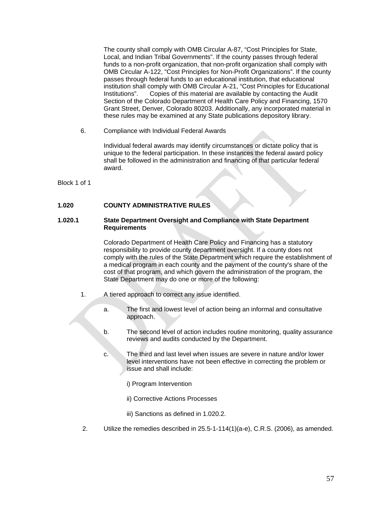The county shall comply with OMB Circular A-87, "Cost Principles for State, Local, and Indian Tribal Governments". If the county passes through federal funds to a non-profit organization, that non-profit organization shall comply with OMB Circular A-122, "Cost Principles for Non-Profit Organizations". If the county passes through federal funds to an educational institution, that educational institution shall comply with OMB Circular A-21, "Cost Principles for Educational Institutions". Copies of this material are available by contacting the Audit Section of the Colorado Department of Health Care Policy and Financing, 1570 Grant Street, Denver, Colorado 80203. Additionally, any incorporated material in these rules may be examined at any State publications depository library.

6. Compliance with Individual Federal Awards

 Individual federal awards may identify circumstances or dictate policy that is unique to the federal participation. In these instances the federal award policy shall be followed in the administration and financing of that particular federal award.

Block 1 of 1

### **1.020 COUNTY ADMINISTRATIVE RULES**

#### **1.020.1 State Department Oversight and Compliance with State Department Requirements**

Colorado Department of Health Care Policy and Financing has a statutory responsibility to provide county department oversight. If a county does not comply with the rules of the State Department which require the establishment of a medical program in each county and the payment of the county's share of the cost of that program, and which govern the administration of the program, the State Department may do one or more of the following:

- 1. A tiered approach to correct any issue identified.
	- a. The first and lowest level of action being an informal and consultative approach.
	- b. The second level of action includes routine monitoring, quality assurance reviews and audits conducted by the Department.
	- c. The third and last level when issues are severe in nature and/or lower level interventions have not been effective in correcting the problem or issue and shall include:
		- i) Program Intervention
		- ii) Corrective Actions Processes
		- iii) Sanctions as defined in 1.020.2.
- 2. Utilize the remedies described in 25.5-1-114(1)(a-e), C.R.S. (2006), as amended.